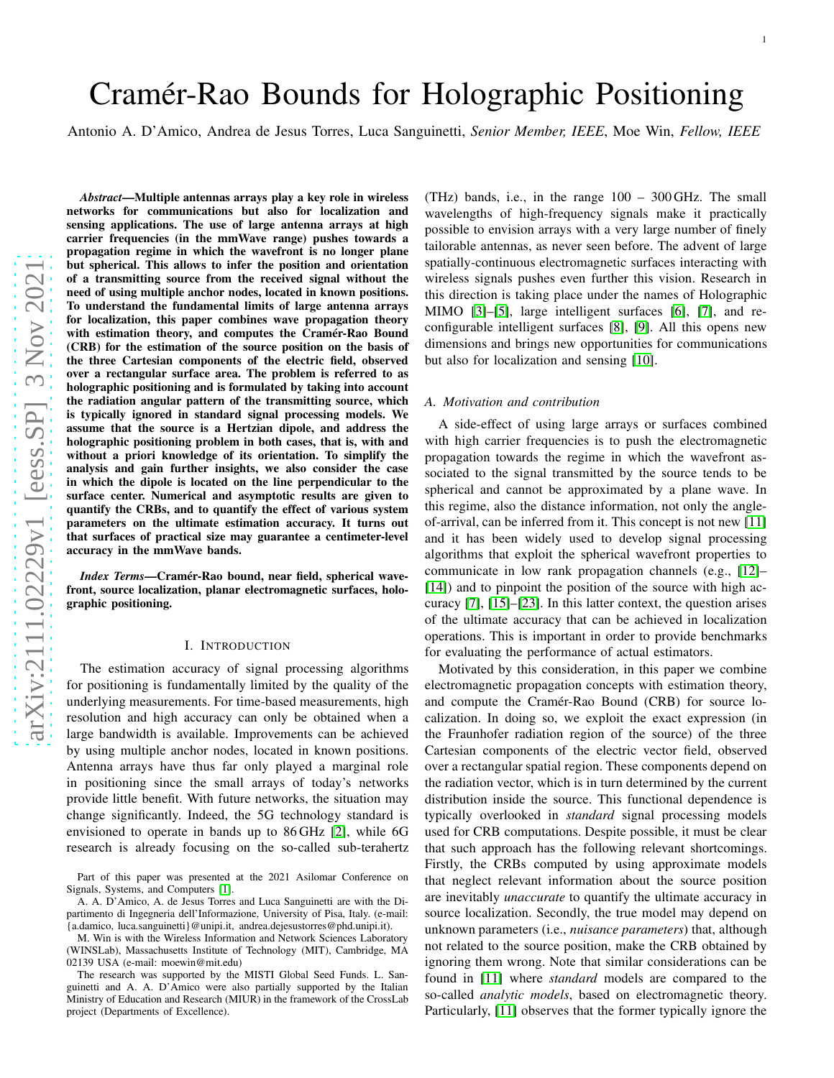# Cramér-Rao Bounds for Holographic Positioning

Antonio A. D'Amico, Andrea de Jesus Torres, Luca Sanguinetti, *Senior Member, IEEE*, Moe Win, *Fellow, IEEE*

*Abstract*—Multiple antennas arrays play a key role in wireless networks for communications but also for localization and sensing applications. The use of large antenna arrays at hig h carrier frequencies (in the mmWave range) pushes towards a propagation regime in which the wavefront is no longer plane but spherical. This allows to infer the position and orientation of a transmitting source from the received signal without th e need of using multiple anchor nodes, located in known positions. To understand the fundamental limits of large antenna array s for localization, this paper combines wave propagation theory with estimation theory, and computes the Cramér-Rao Bound (CRB) for the estimation of the source position on the basis o f the three Cartesian components of the electric field, observed over a rectangular surface area. The problem is referred to a s holographic positioning and is formulated by taking into account the radiation angular pattern of the transmitting source, which is typically ignored in standard signal processing models. We assume that the source is a Hertzian dipole, and address the holographic positioning problem in both cases, that is, with and without a priori knowledge of its orientation. To simplify the analysis and gain further insights, we also consider the cas e in which the dipole is located on the line perpendicular to th e surface center. Numerical and asymptotic results are given to quantify the CRBs, and to quantify the effect of various system parameters on the ultimate estimation accuracy. It turns ou t that surfaces of practical size may guarantee a centimeter-level accuracy in the mmWave bands.

*Index Terms*—Cramér-Rao bound, near field, spherical wavefront, source localization, planar electromagnetic surfaces, holographic positioning.

#### I. INTRODUCTION

The estimation accuracy of signal processing algorithms for positioning is fundamentally limited by the quality of the underlying measurements. For time-based measurements, high resolution and high accuracy can only be obtained when a large bandwidth is available. Improvements can be achieved by using multiple anchor nodes, located in known positions. Antenna arrays have thus far only played a marginal role in positioning since the small arrays of today's networks provide little benefit. With future networks, the situation may change significantly. Indeed, the 5G technology standard is envisioned to operate in bands up to 86 GHz [\[2\]](#page-12-0), while 6G research is already focusing on the so-called sub-terahert z

M. Win is with the Wireless Information and Network Sciences Laboratory (WINSLab), Massachusetts Institute of Technology (MIT), Cambridge, MA 02139 USA (e-mail: moewin@mit.edu)

The research was supported by the MISTI Global Seed Funds. L. Sanguinetti and A. A. D'Amico were also partially supported by the Italian Ministry of Education and Research (MIUR) in the framework of the CrossLab project (Departments of Excellence).

(THz) bands, i.e., in the range 100 – 300 GHz. The small wavelengths of high-frequency signals make it practically possible to envision arrays with a very large number of finely tailorable antennas, as never seen before. The advent of large spatially-continuous electromagnetic surfaces interacting with wireless signals pushes even further this vision. Research in this direction is taking place under the names of Holographi c MIMO [\[3\]](#page-12-2)–[\[5\]](#page-12-3), large intelligent surfaces [\[6\]](#page-12-4), [\[7\]](#page-12-5), and reconfigurable intelligent surfaces [\[8\]](#page-12-6), [\[9\]](#page-12-7). All this opens new dimensions and brings new opportunities for communication s but also for localization and sensing [\[10\]](#page-12-8).

## *A. Motivation and contribution*

A side-effect of using large arrays or surfaces combined with high carrier frequencies is to push the electromagnetic propagation towards the regime in which the wavefront associated to the signal transmitted by the source tends to be spherical and cannot be approximated by a plane wave. In this regime, also the distance information, not only the angleof-arrival, can be inferred from it. This concept is not new [\[11\]](#page-12-9) and it has been widely used to develop signal processing algorithms that exploit the spherical wavefront properties to communicate in low rank propagation channels (e.g., [\[12\]](#page-12-10)– [\[14\]](#page-12-11)) and to pinpoint the position of the source with high accuracy [\[7\]](#page-12-5), [\[15\]](#page-12-12)–[\[23\]](#page-12-13). In this latter context, the question arises of the ultimate accuracy that can be achieved in localizatio n operations. This is important in order to provide benchmark s for evaluating the performance of actual estimators.

Motivated by this consideration, in this paper we combine electromagnetic propagation concepts with estimation theory, and compute the Cramér-Rao Bound (CRB) for source localization. In doing so, we exploit the exact expression (in the Fraunhofer radiation region of the source) of the three Cartesian components of the electric vector field, observed over a rectangular spatial region. These components depend on the radiation vector, which is in turn determined by the current distribution inside the source. This functional dependence is typically overlooked in *standard* signal processing models used for CRB computations. Despite possible, it must be clea r that such approach has the following relevant shortcomings . Firstly, the CRBs computed by using approximate models that neglect relevant information about the source positio n are inevitably *unaccurate* to quantify the ultimate accuracy in source localization. Secondly, the true model may depend on unknown parameters (i.e., *nuisance parameters*) that, although not related to the source position, make the CRB obtained by ignoring them wrong. Note that similar considerations can b e found in [\[11\]](#page-12-9) where *standard* models are compared to the so-called *analytic models*, based on electromagnetic theory. Particularly, [\[11\]](#page-12-9) observes that the former typically ignore the

Part of this paper was presented at the 2021 Asilomar Conference on Signals, Systems, and Computers [\[1\]](#page-12-1).

A. A. D'Amico, A. de Jesus Torres and Luca Sanguinetti are with the Dipartimento di Ingegneria dell'Informazione, University of Pisa, Italy. (e-mail: {a.damico, luca.sanguinetti}@unipi.it, andrea.dejesustorres@phd.unipi.it).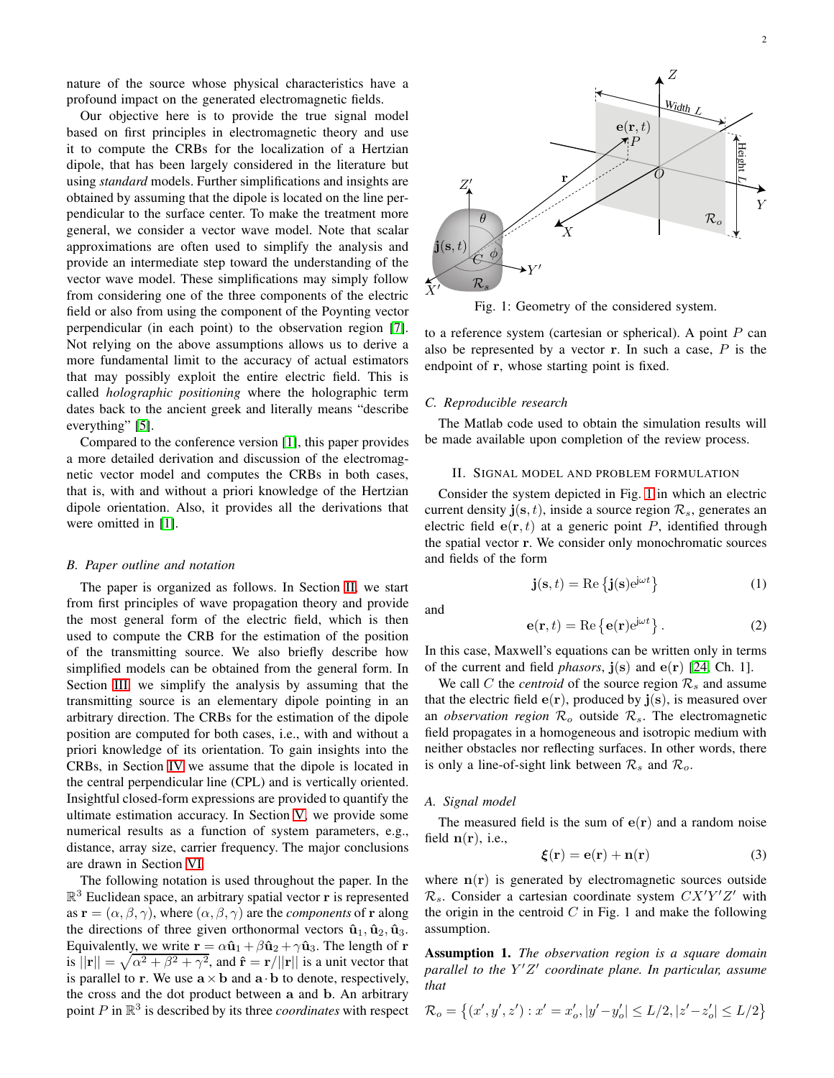nature of the source whose physical characteristics have a profound impact on the generated electromagnetic fields.

Our objective here is to provide the true signal model based on first principles in electromagnetic theory and use it to compute the CRBs for the localization of a Hertzian dipole, that has been largely considered in the literature but using *standard* models. Further simplifications and insights are obtained by assuming that the dipole is located on the line perpendicular to the surface center. To make the treatment more general, we consider a vector wave model. Note that scalar approximations are often used to simplify the analysis and provide an intermediate step toward the understanding of the vector wave model. These simplifications may simply follow from considering one of the three components of the electric field or also from using the component of the Poynting vector perpendicular (in each point) to the observation region [\[7\]](#page-12-5). Not relying on the above assumptions allows us to derive a more fundamental limit to the accuracy of actual estimators that may possibly exploit the entire electric field. This is called *holographic positioning* where the holographic term dates back to the ancient greek and literally means "describe everything" [\[5\]](#page-12-3).

Compared to the conference version [\[1\]](#page-12-1), this paper provides a more detailed derivation and discussion of the electromagnetic vector model and computes the CRBs in both cases, that is, with and without a priori knowledge of the Hertzian dipole orientation. Also, it provides all the derivations that were omitted in [\[1\]](#page-12-1).

#### *B. Paper outline and notation*

The paper is organized as follows. In Section [II,](#page-1-0) we start from first principles of wave propagation theory and provide the most general form of the electric field, which is then used to compute the CRB for the estimation of the position of the transmitting source. We also briefly describe how simplified models can be obtained from the general form. In Section [III,](#page-4-0) we simplify the analysis by assuming that the transmitting source is an elementary dipole pointing in an arbitrary direction. The CRBs for the estimation of the dipole position are computed for both cases, i.e., with and without a priori knowledge of its orientation. To gain insights into the CRBs, in Section [IV](#page-5-0) we assume that the dipole is located in the central perpendicular line (CPL) and is vertically oriented. Insightful closed-form expressions are provided to quantify the ultimate estimation accuracy. In Section [V,](#page-6-0) we provide some numerical results as a function of system parameters, e.g., distance, array size, carrier frequency. The major conclusions are drawn in Section [VI.](#page-9-0)

The following notation is used throughout the paper. In the  $\mathbb{R}^3$  Euclidean space, an arbitrary spatial vector **r** is represented as  $\mathbf{r} = (\alpha, \beta, \gamma)$ , where  $(\alpha, \beta, \gamma)$  are the *components* of **r** along the directions of three given orthonormal vectors  $\hat{\mathbf{u}}_1$ ,  $\hat{\mathbf{u}}_2$ ,  $\hat{\mathbf{u}}_3$ . Equivalently, we write  $\mathbf{r} = \alpha \hat{\mathbf{u}}_1 + \beta \hat{\mathbf{u}}_2 + \gamma \hat{\mathbf{u}}_3$ . The length of r is  $||\mathbf{r}|| = \sqrt{\alpha^2 + \beta^2 + \gamma^2}$ , and  $\hat{\mathbf{r}} = \mathbf{r}/||\mathbf{r}||$  is a unit vector that is parallel to **r**. We use  $\mathbf{a} \times \mathbf{b}$  and  $\mathbf{a} \cdot \mathbf{b}$  to denote, respectively, the cross and the dot product between a and b. An arbitrary point P in R 3 is described by its three *coordinates* with respect

<span id="page-1-1"></span>

Fig. 1: Geometry of the considered system.

to a reference system (cartesian or spherical). A point  $P$  can also be represented by a vector  $r$ . In such a case,  $P$  is the endpoint of r, whose starting point is fixed.

## *C. Reproducible research*

The Matlab code used to obtain the simulation results will be made available upon completion of the review process.

## <span id="page-1-0"></span>II. SIGNAL MODEL AND PROBLEM FORMULATION

Consider the system depicted in Fig. [1](#page-1-1) in which an electric current density  $\mathbf{j}(\mathbf{s}, t)$ , inside a source region  $\mathcal{R}_{s}$ , generates an electric field  $e(\mathbf{r}, t)$  at a generic point P, identified through the spatial vector r. We consider only monochromatic sources and fields of the form

$$
\mathbf{j}(\mathbf{s},t) = \text{Re}\left\{\mathbf{j}(\mathbf{s})e^{\mathbf{j}\omega t}\right\} \tag{1}
$$

and

$$
\mathbf{e}(\mathbf{r},t) = \text{Re}\left\{\mathbf{e}(\mathbf{r})e^{\mathbf{j}\omega t}\right\}.
$$
 (2)

In this case, Maxwell's equations can be written only in terms of the current and field *phasors*,  $\mathbf{j}(\mathbf{s})$  and  $\mathbf{e}(\mathbf{r})$  [\[24,](#page-12-14) Ch. 1].

We call C the *centroid* of the source region  $\mathcal{R}_s$  and assume that the electric field  $e(r)$ , produced by  $\mathbf{j}(s)$ , is measured over an *observation region*  $\mathcal{R}_o$  outside  $\mathcal{R}_s$ . The electromagnetic field propagates in a homogeneous and isotropic medium with neither obstacles nor reflecting surfaces. In other words, there is only a line-of-sight link between  $\mathcal{R}_s$  and  $\mathcal{R}_o$ .

#### *A. Signal model*

The measured field is the sum of  $e(r)$  and a random noise field  $n(r)$ , i.e.,

<span id="page-1-2"></span>
$$
\boldsymbol{\xi}(\mathbf{r}) = \mathbf{e}(\mathbf{r}) + \mathbf{n}(\mathbf{r}) \tag{3}
$$

where  $n(r)$  is generated by electromagnetic sources outside  $\mathcal{R}_s$ . Consider a cartesian coordinate system  $CX'Y'Z'$  with the origin in the centroid  $C$  in Fig. 1 and make the following assumption.

<span id="page-1-3"></span>Assumption 1. *The observation region is a square domain parallel to the* Y ′Z ′ *coordinate plane. In particular, assume that*

$$
\mathcal{R}_o = \left\{ (x', y', z') : x' = x'_o, |y' - y'_o| \le L/2, |z' - z'_o| \le L/2 \right\}
$$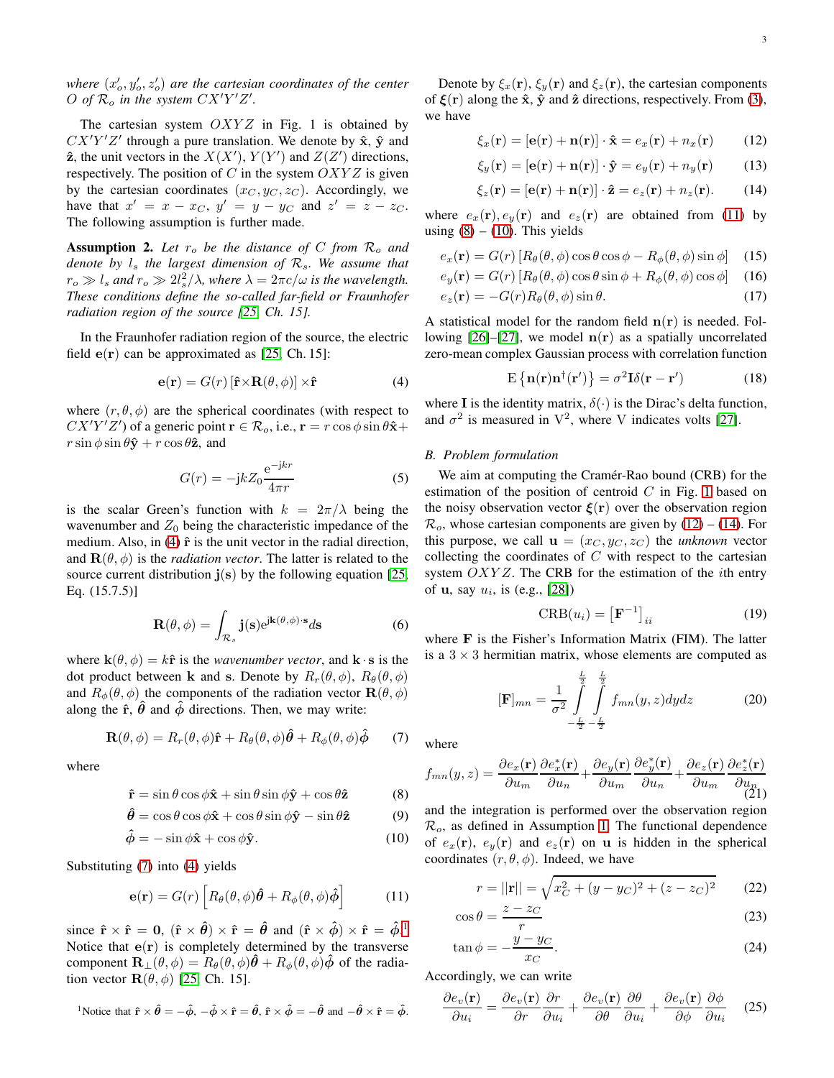where  $(x'_o, y'_o, z'_o)$  are the cartesian coordinates of the center O of  $\mathcal{R}_o$  in the system  $CX'Y'Z'$ .

The cartesian system  $OXYZ$  in Fig. 1 is obtained by  $CX'Y'Z'$  through a pure translation. We denote by  $\hat{\mathbf{x}}, \hat{\mathbf{y}}$  and  $\hat{z}$ , the unit vectors in the  $X(X')$ ,  $Y(Y')$  and  $Z(Z')$  directions, respectively. The position of  $C$  in the system  $OXYZ$  is given by the cartesian coordinates  $(x_C, y_C, z_C)$ . Accordingly, we have that  $x' = x - x_C$ ,  $y' = y - y_C$  and  $z' = z - z_C$ . The following assumption is further made.

**Assumption 2.** Let  $r_o$  be the distance of C from  $\mathcal{R}_o$  and *denote by*  $l_s$  *the largest dimension of*  $\mathcal{R}_s$ *. We assume that*  $r_o \gg l_s$  and  $r_o \gg 2l_s^2/\lambda$ , where  $\lambda = 2\pi c/\omega$  is the wavelength. *These conditions define the so-called far-field or Fraunhofer radiation region of the source [\[25,](#page-12-15) Ch. 15].*

In the Fraunhofer radiation region of the source, the electric field  $e(r)$  can be approximated as [\[25,](#page-12-15) Ch. 15]:

<span id="page-2-0"></span>
$$
\mathbf{e}(\mathbf{r}) = G(r) \left[ \hat{\mathbf{r}} \times \mathbf{R}(\theta, \phi) \right] \times \hat{\mathbf{r}} \tag{4}
$$

where  $(r, \theta, \phi)$  are the spherical coordinates (with respect to  $CX'Y'Z'$ ) of a generic point  $\mathbf{r} \in \mathcal{R}_o$ , i.e.,  $\mathbf{r} = r \cos \phi \sin \theta \hat{\mathbf{x}} +$  $r \sin \phi \sin \theta \hat{\mathbf{y}} + r \cos \theta \hat{\mathbf{z}}$ , and

<span id="page-2-13"></span>
$$
G(r) = -\mathbf{j}kZ_0 \frac{\mathrm{e}^{-\mathbf{j}kr}}{4\pi r} \tag{5}
$$

is the scalar Green's function with  $k = 2\pi/\lambda$  being the wavenumber and  $Z_0$  being the characteristic impedance of the medium. Also, in  $(4)$   $\hat{r}$  is the unit vector in the radial direction, and  $\mathbf{R}(\theta, \phi)$  is the *radiation vector*. The latter is related to the source current distribution  $j(s)$  by the following equation [\[25,](#page-12-15) Eq. (15.7.5)]

<span id="page-2-14"></span>
$$
\mathbf{R}(\theta,\phi) = \int_{\mathcal{R}_s} \mathbf{j}(\mathbf{s}) e^{j\mathbf{k}(\theta,\phi)\cdot\mathbf{s}} d\mathbf{s}
$$
 (6)

where  $\mathbf{k}(\theta, \phi) = k\hat{\mathbf{r}}$  is the *wavenumber vector*, and  $\mathbf{k} \cdot \mathbf{s}$  is the dot product between k and s. Denote by  $R_r(\theta, \phi)$ ,  $R_{\theta}(\theta, \phi)$ and  $R_{\phi}(\theta, \phi)$  the components of the radiation vector  $\mathbf{R}(\theta, \phi)$ along the  $\hat{\mathbf{r}}$ ,  $\hat{\theta}$  and  $\hat{\phi}$  directions. Then, we may write:

<span id="page-2-1"></span>
$$
\mathbf{R}(\theta,\phi) = R_r(\theta,\phi)\hat{\mathbf{r}} + R_\theta(\theta,\phi)\hat{\boldsymbol{\theta}} + R_\phi(\theta,\phi)\hat{\boldsymbol{\phi}} \qquad (7)
$$

where

$$
\hat{\mathbf{r}} = \sin \theta \cos \phi \hat{\mathbf{x}} + \sin \theta \sin \phi \hat{\mathbf{y}} + \cos \theta \hat{\mathbf{z}}
$$
 (8)

$$
\hat{\theta} = \cos \theta \cos \phi \hat{\mathbf{x}} + \cos \theta \sin \phi \hat{\mathbf{y}} - \sin \theta \hat{\mathbf{z}}
$$
(9)

$$
\hat{\phi} = -\sin\phi \hat{\mathbf{x}} + \cos\phi \hat{\mathbf{y}}.\tag{10}
$$

Substituting [\(7\)](#page-2-1) into [\(4\)](#page-2-0) yields

<span id="page-2-3"></span>
$$
\mathbf{e}(\mathbf{r}) = G(r) \left[ R_{\theta}(\theta, \phi) \hat{\theta} + R_{\phi}(\theta, \phi) \hat{\phi} \right]
$$
 (11)

since  $\hat{\mathbf{r}} \times \hat{\mathbf{r}} = \mathbf{0}$ ,  $(\hat{\mathbf{r}} \times \hat{\boldsymbol{\theta}}) \times \hat{\mathbf{r}} = \hat{\boldsymbol{\theta}}$  and  $(\hat{\mathbf{r}} \times \hat{\boldsymbol{\phi}}) \times \hat{\mathbf{r}} = \hat{\boldsymbol{\phi}}$ . Notice that  $e(r)$  is completely determined by the transverse component  $\mathbf{R}_{\perp}(\theta, \phi) = R_{\theta}(\theta, \phi)\boldsymbol{\theta} + R_{\phi}(\theta, \phi)\boldsymbol{\phi}$  of the radiation vector  $\mathbf{R}(\theta, \phi)$  [\[25,](#page-12-15) Ch. 15].

<span id="page-2-2"></span><sup>1</sup>Notice that 
$$
\hat{\mathbf{r}} \times \hat{\boldsymbol{\theta}} = -\hat{\phi}, -\hat{\phi} \times \hat{\mathbf{r}} = \hat{\boldsymbol{\theta}}, \ \hat{\mathbf{r}} \times \hat{\phi} = -\hat{\boldsymbol{\theta}}
$$
 and  $-\hat{\boldsymbol{\theta}} \times \hat{\mathbf{r}} = \hat{\phi}$ .

Denote by  $\xi_x(\mathbf{r})$ ,  $\xi_y(\mathbf{r})$  and  $\xi_z(\mathbf{r})$ , the cartesian components of  $\xi(\mathbf{r})$  along the  $\hat{\mathbf{x}}$ ,  $\hat{\mathbf{y}}$  and  $\hat{\mathbf{z}}$  directions, respectively. From [\(3\)](#page-1-2), we have

<span id="page-2-6"></span>
$$
\xi_x(\mathbf{r}) = [\mathbf{e}(\mathbf{r}) + \mathbf{n}(\mathbf{r})] \cdot \hat{\mathbf{x}} = e_x(\mathbf{r}) + n_x(\mathbf{r}) \qquad (12)
$$

$$
\xi_y(\mathbf{r}) = [\mathbf{e}(\mathbf{r}) + \mathbf{n}(\mathbf{r})] \cdot \hat{\mathbf{y}} = e_y(\mathbf{r}) + n_y(\mathbf{r}) \quad (13)
$$

<span id="page-2-7"></span>
$$
\xi_z(\mathbf{r}) = [\mathbf{e}(\mathbf{r}) + \mathbf{n}(\mathbf{r})] \cdot \hat{\mathbf{z}} = e_z(\mathbf{r}) + n_z(\mathbf{r}). \quad (14)
$$

where  $e_x(\mathbf{r}), e_y(\mathbf{r})$  and  $e_z(\mathbf{r})$  are obtained from [\(11\)](#page-2-3) by using  $(8) - (10)$  $(8) - (10)$ . This yields

$$
e_x(\mathbf{r}) = G(r) \left[ R_\theta(\theta, \phi) \cos \theta \cos \phi - R_\phi(\theta, \phi) \sin \phi \right] \quad (15)
$$

$$
e_y(\mathbf{r}) = G(r) \left[ R_\theta(\theta, \phi) \cos \theta \sin \phi + R_\phi(\theta, \phi) \cos \phi \right] \tag{16}
$$

$$
e_z(\mathbf{r}) = -G(r)R_\theta(\theta, \phi)\sin\theta. \tag{17}
$$

A statistical model for the random field  $n(r)$  is needed. Fol-lowing [\[26\]](#page-12-16)–[\[27\]](#page-12-17), we model  $n(r)$  as a spatially uncorrelated zero-mean complex Gaussian process with correlation function

<span id="page-2-11"></span><span id="page-2-10"></span>
$$
E\left\{n(\mathbf{r})n^{\dagger}(\mathbf{r}')\right\} = \sigma^2 \mathbf{I} \delta(\mathbf{r} - \mathbf{r}')
$$
 (18)

where **I** is the identity matrix,  $\delta(\cdot)$  is the Dirac's delta function, and  $\sigma^2$  is measured in  $V^2$ , where V indicates volts [\[27\]](#page-12-17).

## <span id="page-2-17"></span>*B. Problem formulation*

We aim at computing the Cramér-Rao bound (CRB) for the estimation of the position of centroid  $C$  in Fig. [1](#page-1-1) based on the noisy observation vector  $\xi(\mathbf{r})$  over the observation region  $\mathcal{R}_o$ , whose cartesian components are given by [\(12\)](#page-2-6) – [\(14\)](#page-2-7). For this purpose, we call  $\mathbf{u} = (x_C, y_C, z_C)$  the *unknown* vector collecting the coordinates of  $C$  with respect to the cartesian system  $OXYZ$ . The CRB for the estimation of the *i*th entry of **u**, say  $u_i$ , is (e.g., [\[28\]](#page-12-18))

<span id="page-2-15"></span>
$$
CRB(u_i) = [\mathbf{F}^{-1}]_{ii} \tag{19}
$$

where F is the Fisher's Information Matrix (FIM). The latter is a  $3 \times 3$  hermitian matrix, whose elements are computed as

$$
[\mathbf{F}]_{mn} = \frac{1}{\sigma^2} \int_{-\frac{L}{2}}^{\frac{L}{2}} \int_{-\frac{L}{2}}^{\frac{L}{2}} f_{mn}(y, z) dy dz
$$
 (20)

where

<span id="page-2-16"></span>
$$
f_{mn}(y,z) = \frac{\partial e_x(\mathbf{r})}{\partial u_m} \frac{\partial e_x^*(\mathbf{r})}{\partial u_n} + \frac{\partial e_y(\mathbf{r})}{\partial u_m} \frac{\partial e_y^*(\mathbf{r})}{\partial u_n} + \frac{\partial e_z(\mathbf{r})}{\partial u_m} \frac{\partial e_z^*(\mathbf{r})}{\partial u_n}
$$
(21)

<span id="page-2-5"></span><span id="page-2-4"></span>and the integration is performed over the observation region  $\mathcal{R}_o$ , as defined in Assumption [1.](#page-1-3) The functional dependence of  $e_x(\mathbf{r})$ ,  $e_y(\mathbf{r})$  and  $e_z(\mathbf{r})$  on **u** is hidden in the spherical coordinates  $(r, \theta, \phi)$ . Indeed, we have

<span id="page-2-9"></span><span id="page-2-8"></span>
$$
r = ||\mathbf{r}|| = \sqrt{x_C^2 + (y - y_C)^2 + (z - z_C)^2}
$$
 (22)

$$
\cos \theta = \frac{z - z_C}{r}
$$
 (23)

$$
\tan \phi = -\frac{y - y_C}{x_C}.\tag{24}
$$

Accordingly, we can write

<span id="page-2-12"></span>
$$
\frac{\partial e_v(\mathbf{r})}{\partial u_i} = \frac{\partial e_v(\mathbf{r})}{\partial r} \frac{\partial r}{\partial u_i} + \frac{\partial e_v(\mathbf{r})}{\partial \theta} \frac{\partial \theta}{\partial u_i} + \frac{\partial e_v(\mathbf{r})}{\partial \phi} \frac{\partial \phi}{\partial u_i}
$$
(25)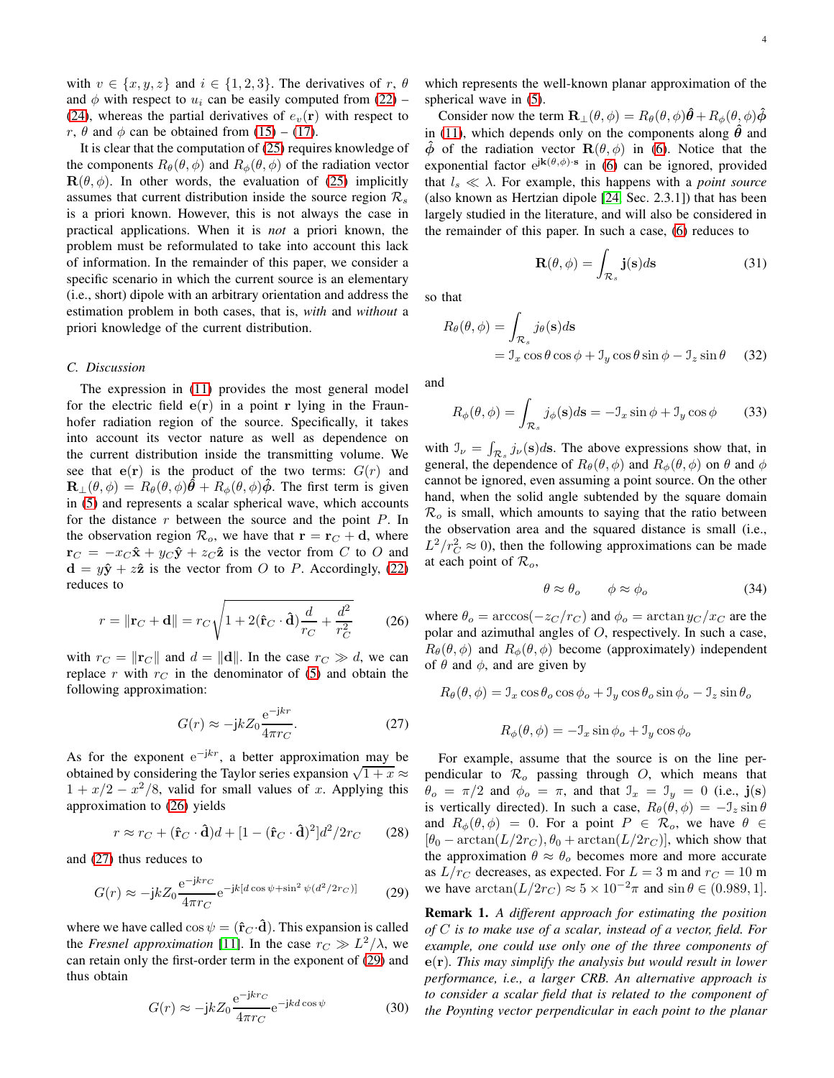with  $v \in \{x, y, z\}$  and  $i \in \{1, 2, 3\}$ . The derivatives of r,  $\theta$ and  $\phi$  with respect to  $u_i$  can be easily computed from [\(22\)](#page-2-8) [\(24\)](#page-2-9), whereas the partial derivatives of  $e_v(\mathbf{r})$  with respect to r,  $\theta$  and  $\phi$  can be obtained from [\(15\)](#page-2-10) – [\(17\)](#page-2-11).

It is clear that the computation of [\(25\)](#page-2-12) requires knowledge of the components  $R_{\theta}(\theta, \phi)$  and  $R_{\phi}(\theta, \phi)$  of the radiation vector  $\mathbf{R}(\theta, \phi)$ . In other words, the evaluation of [\(25\)](#page-2-12) implicitly assumes that current distribution inside the source region  $\mathcal{R}_s$ is a priori known. However, this is not always the case in practical applications. When it is *not* a priori known, the problem must be reformulated to take into account this lack of information. In the remainder of this paper, we consider a specific scenario in which the current source is an elementary (i.e., short) dipole with an arbitrary orientation and address the estimation problem in both cases, that is, *with* and *without* a priori knowledge of the current distribution.

## *C. Discussion*

The expression in [\(11\)](#page-2-3) provides the most general model for the electric field  $e(r)$  in a point r lying in the Fraunhofer radiation region of the source. Specifically, it takes into account its vector nature as well as dependence on the current distribution inside the transmitting volume. We see that  $e(r)$  is the product of the two terms:  $G(r)$  and  $\mathbf{R}_{\perp}(\theta,\phi) = R_{\theta}(\theta,\phi)\hat{\theta} + R_{\phi}(\theta,\phi)\hat{\phi}$ . The first term is given in [\(5\)](#page-2-13) and represents a scalar spherical wave, which accounts for the distance  $r$  between the source and the point  $P$ . In the observation region  $\mathcal{R}_o$ , we have that  $\mathbf{r} = \mathbf{r}_C + \mathbf{d}$ , where  $\mathbf{r}_C = -x_C \hat{\mathbf{x}} + y_C \hat{\mathbf{y}} + z_C \hat{\mathbf{z}}$  is the vector from C to O and  $\mathbf{d} = y\hat{\mathbf{y}} + z\hat{\mathbf{z}}$  is the vector from O to P. Accordingly, [\(22\)](#page-2-8) reduces to

<span id="page-3-0"></span>
$$
r = \|\mathbf{r}_C + \mathbf{d}\| = r_C \sqrt{1 + 2(\hat{\mathbf{r}}_C \cdot \hat{\mathbf{d}}) \frac{d}{r_C} + \frac{d^2}{r_C^2}}
$$
(26)

with  $r_C = ||\mathbf{r}_C||$  and  $d = ||\mathbf{d}||$ . In the case  $r_C \gg d$ , we can replace r with  $r<sub>C</sub>$  in the denominator of [\(5\)](#page-2-13) and obtain the following approximation:

<span id="page-3-1"></span>
$$
G(r) \approx -jkZ_0 \frac{e^{-jkr}}{4\pi r_C}.\tag{27}
$$

As for the exponent  $e^{-jkr}$ , a better approximation may be obtained by considering the Taylor series expansion  $\sqrt{1+x} \approx$  $1 + x/2 - x^2/8$ , valid for small values of x. Applying this approximation to [\(26\)](#page-3-0) yields

$$
r \approx r_C + (\hat{\mathbf{r}}_C \cdot \hat{\mathbf{d}})d + [1 - (\hat{\mathbf{r}}_C \cdot \hat{\mathbf{d}})^2]d^2/2r_C \qquad (28)
$$

and [\(27\)](#page-3-1) thus reduces to

<span id="page-3-2"></span>
$$
G(r) \approx -j k Z_0 \frac{\mathrm{e}^{-\mathrm{j} k r_C}}{4\pi r_C} \mathrm{e}^{-\mathrm{j} k [d \cos \psi + \sin^2 \psi (d^2 / 2r_C)]} \tag{29}
$$

where we have called  $\cos \psi = (\hat{\mathbf{r}}_C \cdot \hat{\mathbf{d}})$ . This expansion is called the *Fresnel approximation* [\[11\]](#page-12-9). In the case  $r_C \gg L^2/\lambda$ , we can retain only the first-order term in the exponent of [\(29\)](#page-3-2) and thus obtain

$$
G(r) \approx -j k Z_0 \frac{e^{-j k r_C}}{4 \pi r_C} e^{-j k d \cos \psi}
$$
 (30)

which represents the well-known planar approximation of the spherical wave in [\(5\)](#page-2-13).

Consider now the term  $\mathbf{R}_{\perp}(\theta, \phi) = R_{\theta}(\theta, \phi)\hat{\theta} + R_{\phi}(\theta, \phi)\hat{\phi}$ in [\(11\)](#page-2-3), which depends only on the components along  $\hat{\theta}$  and  $\hat{\phi}$  of the radiation vector  $\mathbf{R}(\theta, \phi)$  in [\(6\)](#page-2-14). Notice that the exponential factor  $e^{j\mathbf{k}(\theta,\phi)\cdot\mathbf{s}}$  in [\(6\)](#page-2-14) can be ignored, provided that  $l_s \ll \lambda$ . For example, this happens with a *point source* (also known as Hertzian dipole [\[24,](#page-12-14) Sec. 2.3.1]) that has been largely studied in the literature, and will also be considered in the remainder of this paper. In such a case, [\(6\)](#page-2-14) reduces to

$$
\mathbf{R}(\theta,\phi) = \int_{\mathcal{R}_s} \mathbf{j}(\mathbf{s})d\mathbf{s}
$$
 (31)

so that

$$
R_{\theta}(\theta, \phi) = \int_{\mathcal{R}_s} j_{\theta}(\mathbf{s}) d\mathbf{s}
$$
  
=  $\mathcal{I}_x \cos \theta \cos \phi + \mathcal{I}_y \cos \theta \sin \phi - \mathcal{I}_z \sin \theta$  (32)

and

$$
R_{\phi}(\theta,\phi) = \int_{\mathcal{R}_{s}} j_{\phi}(\mathbf{s}) d\mathbf{s} = -\mathcal{I}_{x} \sin \phi + \mathcal{I}_{y} \cos \phi \qquad (33)
$$

with  $\mathcal{I}_{\nu} = \int_{\mathcal{R}_{s}} j_{\nu}(\mathbf{s}) d\mathbf{s}$ . The above expressions show that, in general, the dependence of  $R_{\theta}(\theta, \phi)$  and  $R_{\phi}(\theta, \phi)$  on  $\theta$  and  $\phi$ cannot be ignored, even assuming a point source. On the other hand, when the solid angle subtended by the square domain  $\mathcal{R}_o$  is small, which amounts to saying that the ratio between the observation area and the squared distance is small (i.e.,  $L^2/r_C^2 \approx 0$ ), then the following approximations can be made at each point of  $\mathcal{R}_o$ ,

$$
\theta \approx \theta_o \qquad \phi \approx \phi_o \tag{34}
$$

where  $\theta_o = \arccos(-z_C/r_C)$  and  $\phi_o = \arctan y_C/x_C$  are the polar and azimuthal angles of O, respectively. In such a case,  $R_{\theta}(\theta, \phi)$  and  $R_{\phi}(\theta, \phi)$  become (approximately) independent of  $\theta$  and  $\phi$ , and are given by

$$
R_{\theta}(\theta,\phi) = \mathcal{I}_x \cos \theta_o \cos \phi_o + \mathcal{I}_y \cos \theta_o \sin \phi_o - \mathcal{I}_z \sin \theta_o
$$

$$
R_{\phi}(\theta, \phi) = -\mathcal{I}_x \sin \phi_o + \mathcal{I}_y \cos \phi_o
$$

For example, assume that the source is on the line perpendicular to  $\mathcal{R}_{o}$  passing through O, which means that  $\theta_o = \pi/2$  and  $\phi_o = \pi$ , and that  $\mathcal{I}_x = \mathcal{I}_y = 0$  (i.e.,  $\mathbf{j}(\mathbf{s})$ ) is vertically directed). In such a case,  $R_{\theta}(\theta, \phi) = -\mathcal{I}_z \sin \theta$ and  $R_{\phi}(\theta, \phi) = 0$ . For a point  $P \in \mathcal{R}_o$ , we have  $\theta \in$  $[\theta_0 - \arctan(L/2r_C), \theta_0 + \arctan(L/2r_C)]$ , which show that the approximation  $\theta \approx \theta_o$  becomes more and more accurate as  $L/r_C$  decreases, as expected. For  $L = 3$  m and  $r_C = 10$  m we have  $\arctan(L/2r_C) \approx 5 \times 10^{-2}\pi$  and  $\sin \theta \in (0.989, 1]$ .

<span id="page-3-3"></span>Remark 1. *A different approach for estimating the position of* C *is to make use of a scalar, instead of a vector, field. For example, one could use only one of the three components of* e(r)*. This may simplify the analysis but would result in lower performance, i.e., a larger CRB. An alternative approach is to consider a scalar field that is related to the component of the Poynting vector perpendicular in each point to the planar*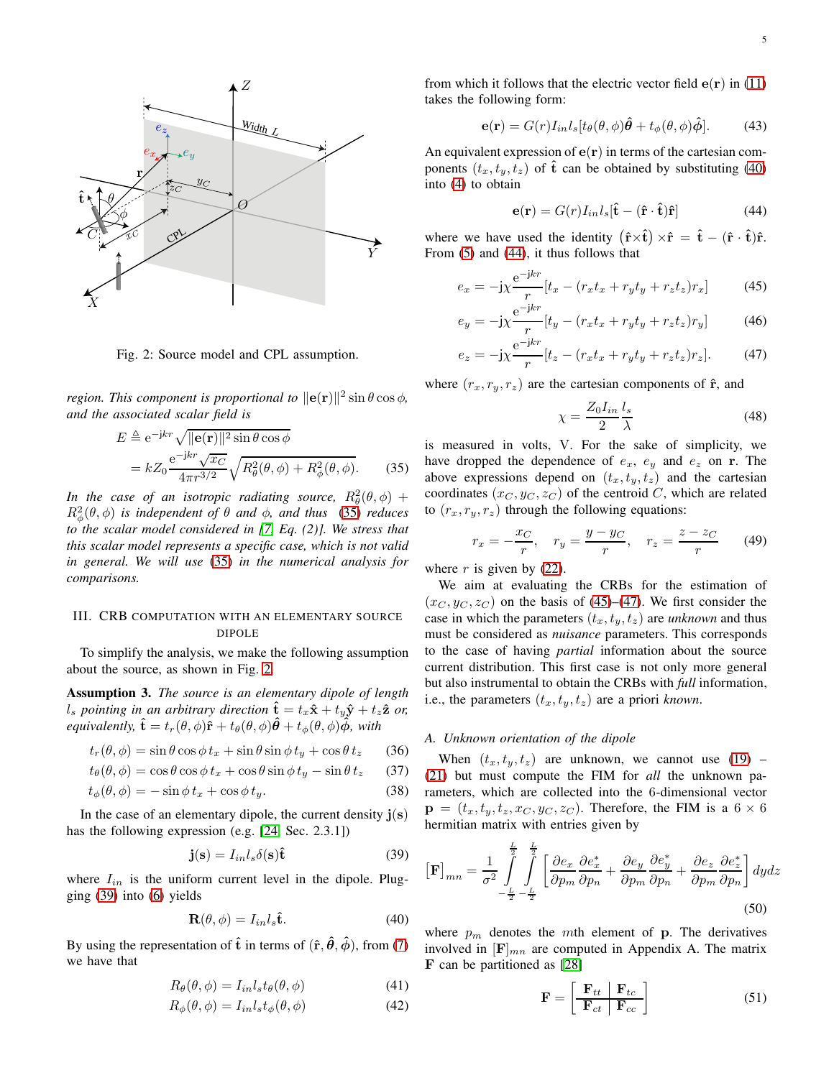<span id="page-4-2"></span>

Fig. 2: Source model and CPL assumption.

*region. This component is proportional to*  $\|\mathbf{e}(\mathbf{r})\|^2 \sin \theta \cos \phi$ , *and the associated scalar field is*

$$
E \triangleq e^{-jkr} \sqrt{\|\mathbf{e}(\mathbf{r})\|^2 \sin \theta \cos \phi}
$$
  
=  $kZ_0 \frac{e^{-jkr} \sqrt{x_C}}{4\pi r^{3/2}} \sqrt{R_\theta^2(\theta, \phi) + R_\phi^2(\theta, \phi)}$ . (35)

*In the case of an isotropic radiating source,*  $R^2_\theta(\theta, \phi)$  +  $R^2_\phi(\theta, \phi)$  *is independent of*  $\theta$  *and*  $\phi$ *, and thus* [\(35\)](#page-4-1) *reduces to the scalar model considered in [\[7,](#page-12-5) Eq. (2)]. We stress that this scalar model represents a specific case, which is not valid in general. We will use* [\(35\)](#page-4-1) *in the numerical analysis for comparisons.*

# <span id="page-4-0"></span>III. CRB COMPUTATION WITH AN ELEMENTARY SOURCE DIPOLE

To simplify the analysis, we make the following assumption about the source, as shown in Fig. [2.](#page-4-2)

Assumption 3. *The source is an elementary dipole of length*  $l_s$  pointing in an arbitrary direction  $\hat{\mathbf{t}} = t_x \hat{\mathbf{x}} + t_y \hat{\mathbf{y}} + t_z \hat{\mathbf{z}}$  or, *equivalently,*  $\hat{\mathbf{t}} = t_r(\theta, \phi) \hat{\mathbf{r}} + t_\theta(\theta, \phi) \hat{\theta} + t_\phi(\theta, \phi) \hat{\phi}$ *, with* 

$$
t_r(\theta, \phi) = \sin \theta \cos \phi \, t_x + \sin \theta \sin \phi \, t_y + \cos \theta \, t_z \tag{36}
$$

$$
t_{\theta}(\theta,\phi) = \cos\theta\cos\phi\,t_x + \cos\theta\sin\phi\,t_y - \sin\theta\,t_z \qquad (37)
$$

$$
t_{\phi}(\theta,\phi) = -\sin\phi \, t_x + \cos\phi \, t_y. \tag{38}
$$

In the case of an elementary dipole, the current density  $\mathbf{j}(\mathbf{s})$ has the following expression (e.g. [\[24,](#page-12-14) Sec. 2.3.1])

<span id="page-4-3"></span>
$$
\mathbf{j}(\mathbf{s}) = I_{in} l_s \delta(\mathbf{s}) \hat{\mathbf{t}} \tag{39}
$$

where  $I_{in}$  is the uniform current level in the dipole. Plugging [\(39\)](#page-4-3) into [\(6\)](#page-2-14) yields

$$
\mathbf{R}(\theta,\phi) = I_{in} l_s \hat{\mathbf{t}}.\tag{40}
$$

By using the representation of  $\hat{\mathbf{t}}$  in terms of  $(\hat{\mathbf{r}}, \hat{\theta}, \hat{\phi})$ , from [\(7\)](#page-2-1) we have that

$$
R_{\theta}(\theta,\phi) = I_{in}l_{s}t_{\theta}(\theta,\phi)
$$
\n(41)

$$
R_{\phi}(\theta,\phi) = I_{in} l_s t_{\phi}(\theta,\phi)
$$
\n(42)

from which it follows that the electric vector field  $e(\mathbf{r})$  in [\(11\)](#page-2-3) takes the following form:

$$
\mathbf{e}(\mathbf{r}) = G(r)I_{in}l_s[t_{\theta}(\theta,\phi)\hat{\theta} + t_{\phi}(\theta,\phi)\hat{\phi}].
$$
 (43)

An equivalent expression of  $e(r)$  in terms of the cartesian components  $(t_x, t_y, t_z)$  of  $\hat{t}$  can be obtained by substituting [\(40\)](#page-4-4) into [\(4\)](#page-2-0) to obtain

<span id="page-4-5"></span>
$$
\mathbf{e}(\mathbf{r}) = G(r)I_{in}l_{s}[\hat{\mathbf{t}} - (\hat{\mathbf{r}} \cdot \hat{\mathbf{t}})\hat{\mathbf{r}}]
$$
(44)

where we have used the identity  $(\hat{\mathbf{r}} \times \hat{\mathbf{t}}) \times \hat{\mathbf{r}} = \hat{\mathbf{t}} - (\hat{\mathbf{r}} \cdot \hat{\mathbf{t}})\hat{\mathbf{r}}$ . From [\(5\)](#page-2-13) and [\(44\)](#page-4-5), it thus follows that

$$
e_x = -j\chi \frac{e^{-jkr}}{r} [t_x - (r_x t_x + r_y t_y + r_z t_z) r_x]
$$
(45)

$$
e_y = -j\chi \frac{e^{-jkr}}{r} [t_y - (r_x t_x + r_y t_y + r_z t_z) r_y]
$$
(46)

$$
e_z = -j\chi \frac{e^{-jkr}}{r} [t_z - (r_x t_x + r_y t_y + r_z t_z) r_z].
$$
 (47)

where  $(r_x, r_y, r_z)$  are the cartesian components of  $\hat{\mathbf{r}}$ , and

<span id="page-4-11"></span><span id="page-4-10"></span><span id="page-4-7"></span><span id="page-4-6"></span>
$$
\chi = \frac{Z_0 I_{in}}{2} \frac{l_s}{\lambda} \tag{48}
$$

<span id="page-4-1"></span>is measured in volts, V. For the sake of simplicity, we have dropped the dependence of  $e_x$ ,  $e_y$  and  $e_z$  on r. The above expressions depend on  $(t_x, t_y, t_z)$  and the cartesian coordinates  $(x_C, y_C, z_C)$  of the centroid C, which are related to  $(r_x, r_y, r_z)$  through the following equations:

$$
r_x = -\frac{x_C}{r}, \quad r_y = \frac{y - y_C}{r}, \quad r_z = \frac{z - z_C}{r}
$$
 (49)

where  $r$  is given by [\(22\)](#page-2-8).

We aim at evaluating the CRBs for the estimation of  $(x_C, y_C, z_C)$  on the basis of [\(45\)](#page-4-6)–[\(47\)](#page-4-7). We first consider the case in which the parameters  $(t_x, t_y, t_z)$  are *unknown* and thus must be considered as *nuisance* parameters. This corresponds to the case of having *partial* information about the source current distribution. This first case is not only more general but also instrumental to obtain the CRBs with *full* information, i.e., the parameters  $(t_x, t_y, t_z)$  are a priori *known*.

## *A. Unknown orientation of the dipole*

When  $(t_x, t_y, t_z)$  are unknown, we cannot use [\(19\)](#page-2-15) – [\(21\)](#page-2-16) but must compute the FIM for *all* the unknown parameters, which are collected into the 6-dimensional vector  $\mathbf{p} = (t_x, t_y, t_z, x_C, y_C, z_C)$ . Therefore, the FIM is a 6  $\times$  6 hermitian matrix with entries given by

$$
\left[\mathbf{F}\right]_{mn} = \frac{1}{\sigma^2} \int_{-\frac{L}{2} - \frac{L}{2}}^{\frac{L}{2} - \frac{L}{2}} \left[ \frac{\partial e_x}{\partial p_m} \frac{\partial e_x^*}{\partial p_n} + \frac{\partial e_y}{\partial p_m} \frac{\partial e_y^*}{\partial p_n} + \frac{\partial e_z}{\partial p_m} \frac{\partial e_z^*}{\partial p_n} \right] dy dz
$$
\n
$$
(50)
$$

<span id="page-4-4"></span>where  $p_m$  denotes the mth element of p. The derivatives involved in  $[F]_{mn}$  are computed in Appendix A. The matrix F can be partitioned as [\[28\]](#page-12-18)

<span id="page-4-9"></span><span id="page-4-8"></span>
$$
\mathbf{F} = \begin{bmatrix} \mathbf{F}_{tt} & \mathbf{F}_{tc} \\ \mathbf{F}_{ct} & \mathbf{F}_{cc} \end{bmatrix}
$$
 (51)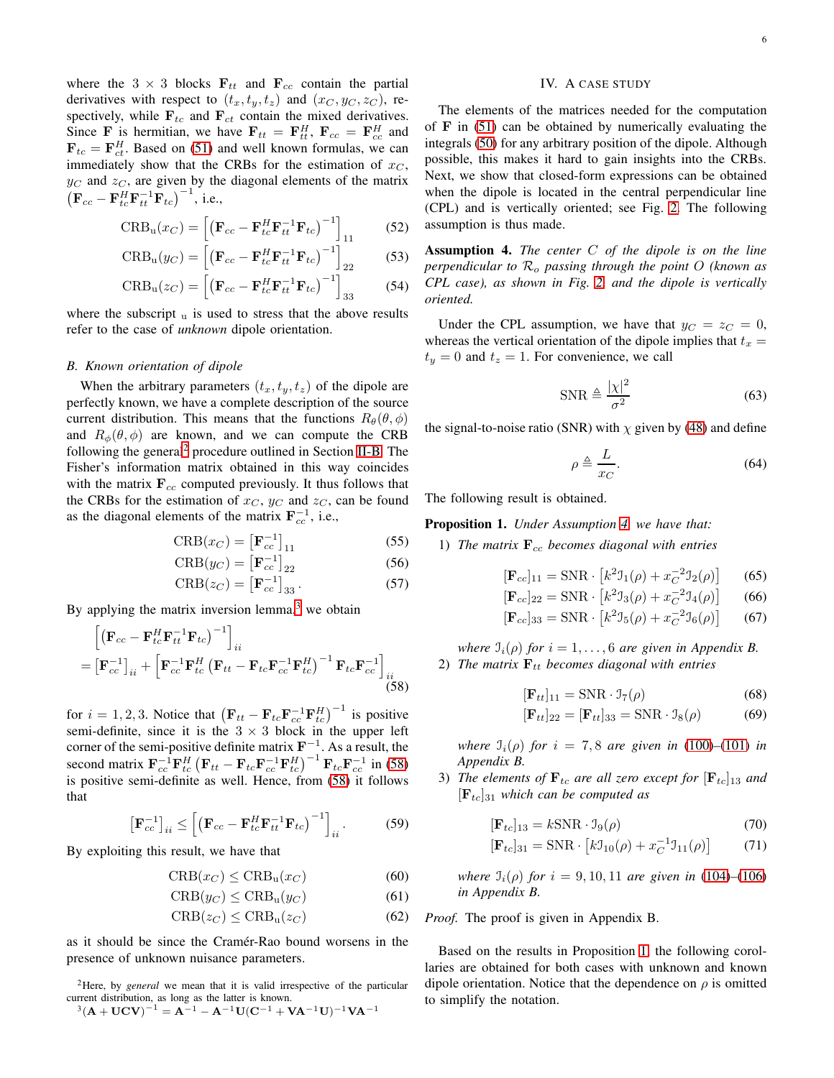where the 3  $\times$  3 blocks  $\mathbf{F}_{tt}$  and  $\mathbf{F}_{cc}$  contain the partial derivatives with respect to  $(t_x, t_y, t_z)$  and  $(x_C, y_C, z_C)$ , respectively, while  $\mathbf{F}_{tc}$  and  $\mathbf{F}_{ct}$  contain the mixed derivatives. Since **F** is hermitian, we have  $F_{tt} = F_{tt}^H$ ,  $F_{cc} = F_{cc}^H$  and  $\mathbf{F}_{tc} = \mathbf{F}_{ct}^H$ . Based on [\(51\)](#page-4-8) and well known formulas, we can immediately show that the CRBs for the estimation of  $x_C$ ,  $y_C$  and  $z_C$ , are given by the diagonal elements of the matrix  $\left( {\bf F}_{cc} - {\bf F}_{tc}^H {\bf F}_{tt}^{-1} {\bf F}_{tc} \right)^{-1}$ , i.e.,

$$
CRBu(xC) = \left[ \left( \mathbf{F}_{cc} - \mathbf{F}_{tc}^H \mathbf{F}_{tt}^{-1} \mathbf{F}_{tc} \right)^{-1} \right]_{11}
$$
 (52)

$$
\text{CRB}_{\mathbf{u}}(y_C) = \left[ \left( \mathbf{F}_{cc} - \mathbf{F}_{tc}^H \mathbf{F}_{tt}^{-1} \mathbf{F}_{tc} \right)^{-1} \right]_{22} \tag{53}
$$

$$
CRBu(zC) = \left[ \left( \mathbf{F}_{cc} - \mathbf{F}_{tc}^H \mathbf{F}_{tt}^{-1} \mathbf{F}_{tc} \right)^{-1} \right]_{33} \tag{54}
$$

where the subscript  $\mathbf{u}$  is used to stress that the above results refer to the case of *unknown* dipole orientation.

## *B. Known orientation of dipole*

When the arbitrary parameters  $(t_x, t_y, t_z)$  of the dipole are perfectly known, we have a complete description of the source current distribution. This means that the functions  $R_{\theta}(\theta, \phi)$ and  $R_{\phi}(\theta, \phi)$  are known, and we can compute the CRB following the general<sup>[2](#page-5-1)</sup> procedure outlined in Section [II-B.](#page-2-17) The Fisher's information matrix obtained in this way coincides with the matrix  $\mathbf{F}_{cc}$  computed previously. It thus follows that the CRBs for the estimation of  $x_C$ ,  $y_C$  and  $z_C$ , can be found as the diagonal elements of the matrix  $\mathbf{F}_{cc}^{-1}$ , i.e.,

$$
CRB(x_C) = \left[\mathbf{F}_{cc}^{-1}\right]_{11} \tag{55}
$$

$$
CRB(y_C) = \left[\mathbf{F}_{cc}^{-1}\right]_{22} \tag{56}
$$

$$
CRB(z_C) = \left[\mathbf{F}_{cc}^{-1}\right]_{33}.
$$
 (57)

By applying the matrix inversion lemma, $3$  we obtain

<span id="page-5-3"></span>
$$
\begin{aligned}\n&\left[\left(\mathbf{F}_{cc} - \mathbf{F}_{tc}^H \mathbf{F}_{tt}^{-1} \mathbf{F}_{tc}\right)^{-1}\right]_{ii} \\
&= \left[\mathbf{F}_{cc}^{-1}\right]_{ii} + \left[\mathbf{F}_{cc}^{-1} \mathbf{F}_{tc}^H \left(\mathbf{F}_{tt} - \mathbf{F}_{tc} \mathbf{F}_{cc}^{-1} \mathbf{F}_{tc}^H\right)^{-1} \mathbf{F}_{tc} \mathbf{F}_{cc}^{-1}\right]_{ii} \\
&\tag{58}\n\end{aligned}
$$

for  $i = 1, 2, 3$ . Notice that  $(\mathbf{F}_{tt} - \mathbf{F}_{tc} \mathbf{F}_{cc}^{-1} \mathbf{F}_{tc}^H)^{-1}$  is positive semi-definite, since it is the  $3 \times 3$  block in the upper left corner of the semi-positive definite matrix  $\mathbf{F}^{-1}$ . As a result, the second matrix  $\mathbf{F}_{cc}^{-1} \mathbf{F}_{tc}^H \left( \mathbf{F}_{tt} - \mathbf{F}_{tc} \mathbf{F}_{cc}^{-1} \mathbf{F}_{tc}^H \right)^{-1} \mathbf{F}_{tc} \mathbf{F}_{cc}^{-1}$  in [\(58\)](#page-5-3) is positive semi-definite as well. Hence, from [\(58\)](#page-5-3) it follows that

$$
\left[\mathbf{F}_{cc}^{-1}\right]_{ii} \le \left[\left(\mathbf{F}_{cc} - \mathbf{F}_{tc}^H \mathbf{F}_{tt}^{-1} \mathbf{F}_{tc}\right)^{-1}\right]_{ii}.
$$
 (59)

By exploiting this result, we have that

$$
CRB(x_C) \leq CRB_u(x_C) \tag{60}
$$

$$
CRB(y_C) \leq CRB_u(y_C) \tag{61}
$$

$$
CRB(z_C) \leq CRB_u(z_C) \tag{62}
$$

as it should be since the Cramér-Rao bound worsens in the presence of unknown nuisance parameters.

<span id="page-5-2"></span><span id="page-5-1"></span><sup>2</sup>Here, by *general* we mean that it is valid irrespective of the particular current distribution, as long as the latter is known.  $^{3}({\rm A} + {\rm UCV})^{-1} = {\rm A}^{-1} - {\rm A}^{-1}{\rm U}({\rm C}^{-1} + {\rm VA}^{-1}{\rm U})^{-1}{\rm VA}^{-1}$ 

# IV. A CASE STUDY

<span id="page-5-0"></span>The elements of the matrices needed for the computation of  $\bf{F}$  in [\(51\)](#page-4-8) can be obtained by numerically evaluating the integrals [\(50\)](#page-4-9) for any arbitrary position of the dipole. Although possible, this makes it hard to gain insights into the CRBs. Next, we show that closed-form expressions can be obtained when the dipole is located in the central perpendicular line (CPL) and is vertically oriented; see Fig. [2.](#page-4-2) The following assumption is thus made.

<span id="page-5-7"></span><span id="page-5-6"></span><span id="page-5-4"></span>Assumption 4. *The center* C *of the dipole is on the line perpendicular to* R<sup>o</sup> *passing through the point* O *(known as CPL case), as shown in Fig. [2,](#page-4-2) and the dipole is vertically oriented.*

Under the CPL assumption, we have that  $y_C = z_C = 0$ , whereas the vertical orientation of the dipole implies that  $t_x =$  $t_y = 0$  and  $t_z = 1$ . For convenience, we call

$$
\text{SNR} \triangleq \frac{|\chi|^2}{\sigma^2} \tag{63}
$$

the signal-to-noise ratio (SNR) with  $\chi$  given by [\(48\)](#page-4-10) and define

<span id="page-5-10"></span>
$$
\rho \triangleq \frac{L}{x_C}.\tag{64}
$$

The following result is obtained.

<span id="page-5-8"></span><span id="page-5-5"></span>Proposition 1. *Under Assumption [4,](#page-5-4) we have that:*

<span id="page-5-9"></span>1) The matrix  $\mathbf{F}_{cc}$  becomes diagonal with entries

$$
[\mathbf{F}_{cc}]_{11} = \text{SNR} \cdot [k^2 \mathcal{I}_1(\rho) + x_C^{-2} \mathcal{I}_2(\rho)] \qquad (65)
$$

$$
[\mathbf{F}_{cc}]_{22} = \text{SNR} \cdot [k^2 \mathbf{I}_3(\rho) + x_C^{-2} \mathbf{I}_4(\rho)] \qquad (66)
$$

$$
[\mathbf{F}_{cc}]_{33} = \text{SNR} \cdot [k^2 \mathbf{I}_5(\rho) + x_C^{-2} \mathbf{I}_6(\rho)] \tag{67}
$$

*where*  $J_i(\rho)$  *for*  $i = 1, \ldots, 6$  *are given in Appendix B.* 2) The matrix  $\mathbf{F}_{tt}$  becomes diagonal with entries

<span id="page-5-11"></span>
$$
[\mathbf{F}_{tt}]_{11} = \text{SNR} \cdot \mathcal{I}_7(\rho) \tag{68}
$$

<span id="page-5-14"></span><span id="page-5-13"></span><span id="page-5-12"></span>
$$
[\mathbf{F}_{tt}]_{22} = [\mathbf{F}_{tt}]_{33} = \text{SNR} \cdot \mathbf{I}_8(\rho) \tag{69}
$$

*where*  $\mathcal{I}_i(\rho)$  *for*  $i = 7, 8$  *are given in* [\(100\)](#page-11-0)–[\(101\)](#page-11-1) *in Appendix B.*

3) *The elements of*  $\mathbf{F}_{tc}$  *are all zero except for*  $[\mathbf{F}_{tc}]_{13}$  *and*  $[F_{tc}]_{31}$  *which can be computed as* 

$$
[\mathbf{F}_{tc}]_{13} = k \text{SNR} \cdot \mathbf{I}_9(\rho) \tag{70}
$$

<span id="page-5-15"></span>
$$
[\mathbf{F}_{tc}]_{31} = \text{SNR} \cdot [k \mathcal{I}_{10}(\rho) + x_C^{-1} \mathcal{I}_{11}(\rho)] \tag{71}
$$

*where*  $\mathcal{I}_i(\rho)$  *for*  $i = 9, 10, 11$  *are given in* [\(104\)](#page-11-2)–[\(106\)](#page-11-3) *in Appendix B.*

*Proof.* The proof is given in Appendix B.

Based on the results in Proposition [1,](#page-5-5) the following corollaries are obtained for both cases with unknown and known dipole orientation. Notice that the dependence on  $\rho$  is omitted to simplify the notation.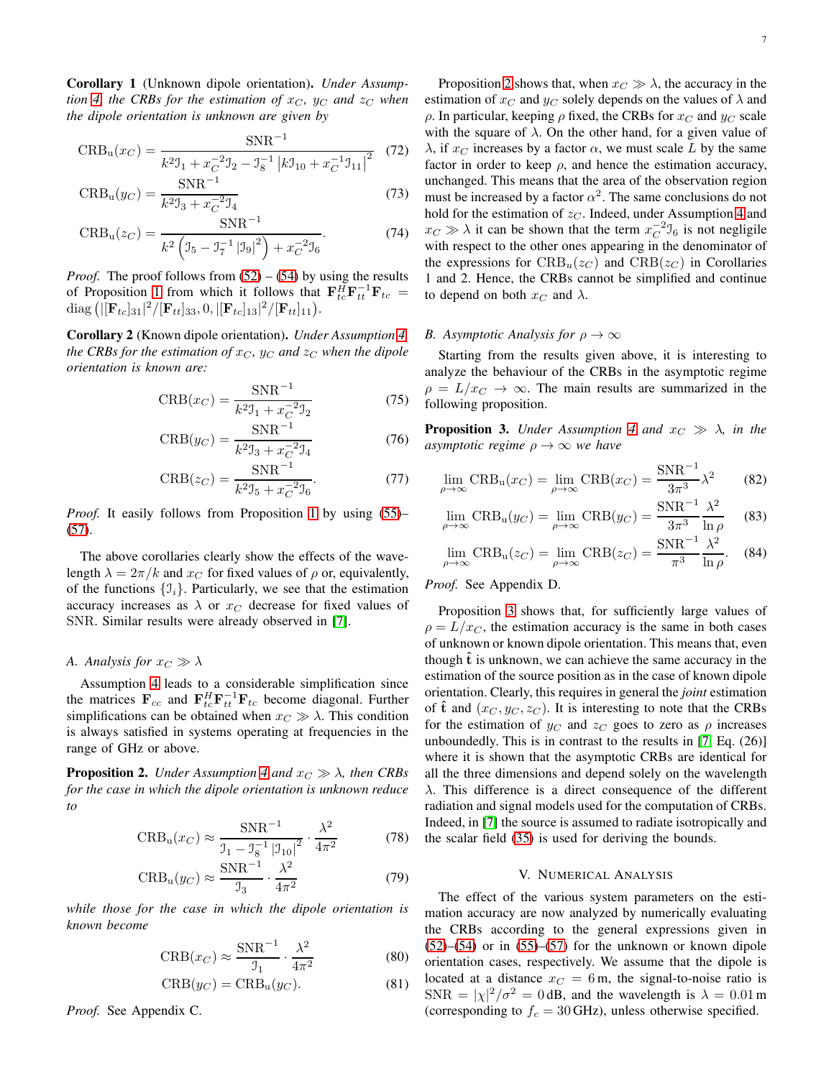Corollary 1 (Unknown dipole orientation). *Under Assumption* [4,](#page-5-4) the CRBs for the estimation of  $x_C$ ,  $y_C$  and  $z_C$  when *the dipole orientation is unknown are given by*

$$
CRBu(xC) = \frac{SNR^{-1}}{k^2 \mathcal{I}_1 + x_C^{-2} \mathcal{I}_2 - \mathcal{I}_8^{-1} |k \mathcal{I}_{10} + x_C^{-1} \mathcal{I}_{11}|^2}
$$
(72)

$$
CRBu(yC) = \frac{SNR^{-1}}{k^2 3_3 + x_C^{-2} 3_4}
$$
 (73)

$$
CRBu(zC) = \frac{SNR^{-1}}{k^2 \left( J_5 - J_7^{-1} |J_9|^2 \right) + x_C^{-2} J_6}.
$$
 (74)

*Proof.* The proof follows from  $(52) - (54)$  $(52) - (54)$  by using the results of Proposition [1](#page-5-5) from which it follows that  $\mathbf{F}_{tc}^H \mathbf{F}_{tt}^{-1} \mathbf{F}_{tc} =$ diag (| $[\mathbf{F}_{tc}]_{31}|^2/[\mathbf{F}_{tt}]_{33}, 0, |[\mathbf{F}_{tc}]_{13}|^2/[\mathbf{F}_{tt}]_{11}).$ 

Corollary 2 (Known dipole orientation). *Under Assumption [4,](#page-5-4) the CRBs for the estimation of*  $x_C$ *,*  $y_C$  *and*  $z_C$  *when the dipole orientation is known are:*

$$
CRB(x_C) = \frac{SNR^{-1}}{k^2 \mathcal{I}_1 + x_C^{-2} \mathcal{I}_2}
$$
 (75)

$$
CRB(y_C) = \frac{SNR^{-1}}{k^2 \mathcal{I}_3 + x_C^{-2} \mathcal{I}_4}
$$
 (76)

$$
CRB(z_C) = \frac{SNR^{-1}}{k^2 \mathcal{I}_5 + x_C^{-2} \mathcal{I}_6}.
$$
 (77)

*Proof.* It easily follows from Proposition [1](#page-5-5) by using [\(55\)](#page-5-8)– [\(57\)](#page-5-9).

The above corollaries clearly show the effects of the wavelength  $\lambda = 2\pi/k$  and  $x_C$  for fixed values of  $\rho$  or, equivalently, of the functions  $\{\mathcal{I}_i\}$ . Particularly, we see that the estimation accuracy increases as  $\lambda$  or  $x_C$  decrease for fixed values of SNR. Similar results were already observed in [\[7\]](#page-12-5).

## *A. Analysis for*  $x_C \gg \lambda$

Assumption [4](#page-5-4) leads to a considerable simplification since the matrices  $\mathbf{F}_{cc}$  and  $\mathbf{F}_{tc}^H \mathbf{F}_{tt}^{-1} \mathbf{F}_{tc}$  become diagonal. Further simplifications can be obtained when  $x_C \gg \lambda$ . This condition is always satisfied in systems operating at frequencies in the range of GHz or above.

<span id="page-6-1"></span>**Proposition 2.** *Under Assumption* [4](#page-5-4) *and*  $x_C \gg \lambda$ *, then CRBs for the case in which the dipole orientation is unknown reduce to*

$$
CRB_u(x_C) \approx \frac{SNR^{-1}}{J_1 - J_8^{-1} |J_{10}|^2} \cdot \frac{\lambda^2}{4\pi^2}
$$
 (78)

$$
CRB_u(y_C) \approx \frac{SNR^{-1}}{J_3} \cdot \frac{\lambda^2}{4\pi^2}
$$
 (79)

*while those for the case in which the dipole orientation is known become*

$$
CRB(x_C) \approx \frac{SNR^{-1}}{J_1} \cdot \frac{\lambda^2}{4\pi^2}
$$
 (80)

$$
CRB(y_C) = CRB_u(y_C). \tag{81}
$$

*Proof.* See Appendix C.

Proposition [2](#page-6-1) shows that, when  $x_C \gg \lambda$ , the accuracy in the estimation of  $x_C$  and  $y_C$  solely depends on the values of  $\lambda$  and  $ρ$ . In particular, keeping  $ρ$  fixed, the CRBs for  $x<sub>C</sub>$  and  $y<sub>C</sub>$  scale with the square of  $\lambda$ . On the other hand, for a given value of  $\lambda$ , if  $x_C$  increases by a factor  $\alpha$ , we must scale L by the same factor in order to keep  $\rho$ , and hence the estimation accuracy, unchanged. This means that the area of the observation region must be increased by a factor  $\alpha^2$ . The same conclusions do not hold for the estimation of  $z<sub>C</sub>$ . Indeed, under Assumption [4](#page-5-4) and  $x_C \gg \lambda$  it can be shown that the term  $x_C^{-2} \mathcal{I}_6$  is not negligile with respect to the other ones appearing in the denominator of the expressions for  $CRB_u(z_C)$  and  $CRB(z_C)$  in Corollaries 1 and 2. Hence, the CRBs cannot be simplified and continue to depend on both  $x_C$  and  $\lambda$ .

## *B. Asymptotic Analysis for*  $\rho \to \infty$

Starting from the results given above, it is interesting to analyze the behaviour of the CRBs in the asymptotic regime  $\rho = L/x_C \rightarrow \infty$ . The main results are summarized in the following proposition.

<span id="page-6-2"></span>**Proposition 3.** *Under Assumption [4](#page-5-4) and*  $x_C \gg \lambda$ *, in the asymptotic regime*  $\rho \rightarrow \infty$  *we have* 

<span id="page-6-3"></span>
$$
\lim_{\rho \to \infty} \text{CRB}_{\text{u}}(x_C) = \lim_{\rho \to \infty} \text{CRB}(x_C) = \frac{\text{SNR}^{-1}}{3\pi^3} \lambda^2 \tag{82}
$$

$$
\lim_{\rho \to \infty} \text{CRB}_{\text{u}}(y_C) = \lim_{\rho \to \infty} \text{CRB}(y_C) = \frac{\text{SNR}^{-1}}{3\pi^3} \frac{\lambda^2}{\ln \rho} \tag{83}
$$

<span id="page-6-5"></span><span id="page-6-4"></span>
$$
\lim_{\rho \to \infty} \text{CRB}_{\text{u}}(z_C) = \lim_{\rho \to \infty} \text{CRB}(z_C) = \frac{\text{SNR}^{-1}}{\pi^3} \frac{\lambda^2}{\ln \rho}.
$$
 (84)

## *Proof.* See Appendix D.

Proposition [3](#page-6-2) shows that, for sufficiently large values of  $\rho = L/x_C$ , the estimation accuracy is the same in both cases of unknown or known dipole orientation. This means that, even though  $t$  is unknown, we can achieve the same accuracy in the estimation of the source position as in the case of known dipole orientation. Clearly, this requires in general the *joint* estimation of  $\hat{\mathbf{t}}$  and  $(x_C, y_C, z_C)$ . It is interesting to note that the CRBs for the estimation of  $y_C$  and  $z_C$  goes to zero as  $\rho$  increases unboundedly. This is in contrast to the results in [\[7,](#page-12-5) Eq. (26)] where it is shown that the asymptotic CRBs are identical for all the three dimensions and depend solely on the wavelength  $\lambda$ . This difference is a direct consequence of the different radiation and signal models used for the computation of CRBs. Indeed, in [\[7\]](#page-12-5) the source is assumed to radiate isotropically and the scalar field [\(35\)](#page-4-1) is used for deriving the bounds.

## V. NUMERICAL ANALYSIS

<span id="page-6-8"></span><span id="page-6-7"></span><span id="page-6-6"></span><span id="page-6-0"></span>The effect of the various system parameters on the estimation accuracy are now analyzed by numerically evaluating the CRBs according to the general expressions given in  $(52)$ – $(54)$  or in  $(55)$ – $(57)$  for the unknown or known dipole orientation cases, respectively. We assume that the dipole is located at a distance  $x_C = 6$  m, the signal-to-noise ratio is  $SNR = |\chi|^2/\sigma^2 = 0$  dB, and the wavelength is  $\lambda = 0.01$  m (corresponding to  $f_c = 30$  GHz), unless otherwise specified.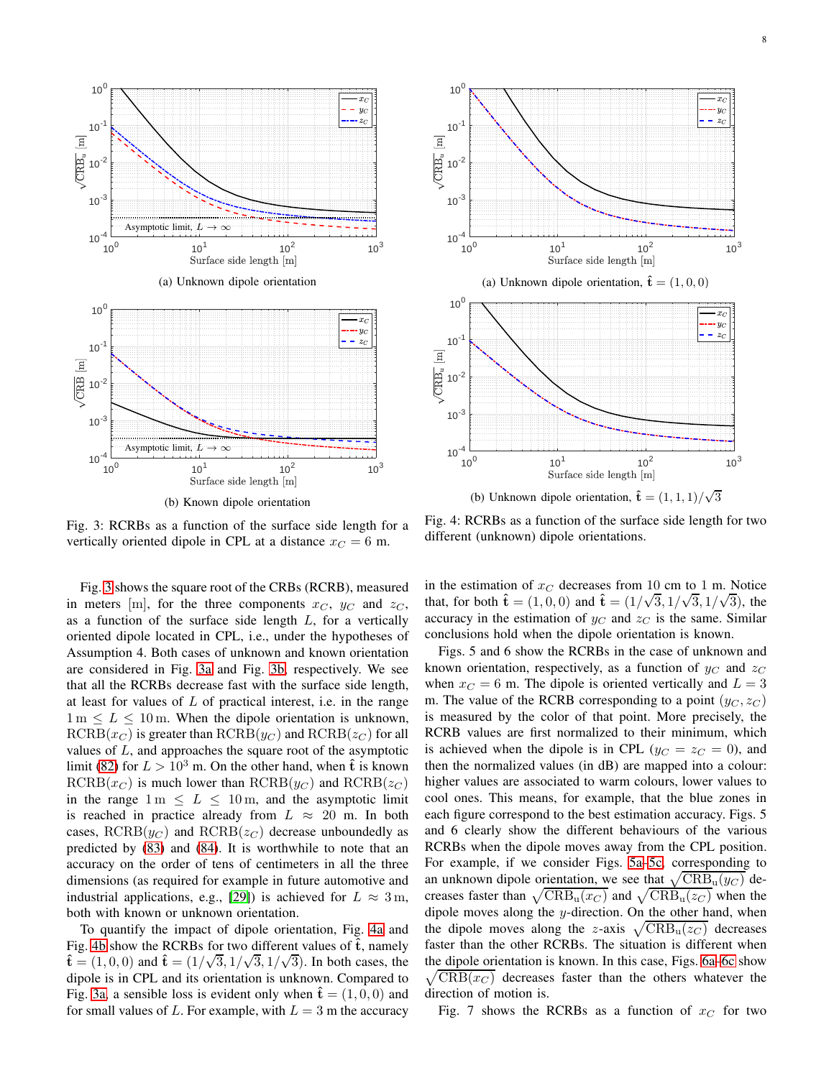<span id="page-7-0"></span>

(b) Known dipole orientation

Fig. 3: RCRBs as a function of the surface side length for a vertically oriented dipole in CPL at a distance  $x_C = 6$  m.

Fig. [3](#page-7-0) shows the square root of the CRBs (RCRB), measured in meters [m], for the three components  $x_C$ ,  $y_C$  and  $z_C$ , as a function of the surface side length  $L$ , for a vertically oriented dipole located in CPL, i.e., under the hypotheses of Assumption 4. Both cases of unknown and known orientation are considered in Fig. [3a](#page-7-0) and Fig. [3b,](#page-7-0) respectively. We see that all the RCRBs decrease fast with the surface side length, at least for values of  $L$  of practical interest, i.e. in the range  $1 m \leq L \leq 10$  m. When the dipole orientation is unknown,  $RCRB(x_C)$  is greater than  $RCRB(y_C)$  and  $RCRB(z_C)$  for all values of L, and approaches the square root of the asymptotic limit [\(82\)](#page-6-3) for  $L > 10^3$  m. On the other hand, when  $\hat{\bf{t}}$  is known  $RCRB(x_C)$  is much lower than  $RCRB(y_C)$  and  $RCRB(z_C)$ in the range  $1 \text{ m } \leq L \leq 10 \text{ m}$ , and the asymptotic limit is reached in practice already from  $L \approx 20$  m. In both cases,  $RCRB(y_C)$  and  $RCRB(z_C)$  decrease unboundedly as predicted by [\(83\)](#page-6-4) and [\(84\)](#page-6-5). It is worthwhile to note that an accuracy on the order of tens of centimeters in all the three dimensions (as required for example in future automotive and industrial applications, e.g., [\[29\]](#page-12-19)) is achieved for  $L \approx 3$  m, both with known or unknown orientation.

To quantify the impact of dipole orientation, Fig. [4a](#page-7-1) and Fig. [4b](#page-7-1) show the RCRBs for two different values of  $\hat{t}$ , namely  $\hat{\mathbf{t}} = (1, 0, 0)$  and  $\hat{\mathbf{t}} = (1/\sqrt{3}, 1/\sqrt{3}, 1/\sqrt{3})$ . In both cases, the dipole is in CPL and its orientation is unknown. Compared to Fig. [3a,](#page-7-0) a sensible loss is evident only when  $\hat{\mathbf{t}} = (1, 0, 0)$  and for small values of L. For example, with  $L = 3$  m the accuracy

<span id="page-7-1"></span>

(b) Unknown dipole orientation,  $\hat{\mathbf{t}} = (1, 1, 1) / \sqrt{3}$ 

Fig. 4: RCRBs as a function of the surface side length for two different (unknown) dipole orientations.

in the estimation of  $x_C$  decreases from 10 cm to 1 m. Notice that, for both  $\hat{\mathbf{t}} = (1, 0, 0)$  and  $\hat{\mathbf{t}} = (1/\sqrt{3}, 1/\sqrt{3}, 1/\sqrt{3})$ , the accuracy in the estimation of  $y_C$  and  $z_C$  is the same. Similar conclusions hold when the dipole orientation is known.

Figs. 5 and 6 show the RCRBs in the case of unknown and known orientation, respectively, as a function of  $y_C$  and  $z_C$ when  $x_C = 6$  m. The dipole is oriented vertically and  $L = 3$ m. The value of the RCRB corresponding to a point  $(y_C, z_C)$ is measured by the color of that point. More precisely, the RCRB values are first normalized to their minimum, which is achieved when the dipole is in CPL ( $y_C = z_C = 0$ ), and then the normalized values (in dB) are mapped into a colour: higher values are associated to warm colours, lower values to cool ones. This means, for example, that the blue zones in each figure correspond to the best estimation accuracy. Figs. 5 and 6 clearly show the different behaviours of the various RCRBs when the dipole moves away from the CPL position. For example, if we consider Figs. [5a–5c,](#page-8-0) corresponding to an unknown dipole orientation, we see that  $\sqrt{CRB_u(y_C)}$  decreases faster than  $\sqrt{\text{CRB}_{\text{u}}(x_C)}$  and  $\sqrt{\text{CRB}_{\text{u}}(z_C)}$  when the dipole moves along the  $y$ -direction. On the other hand, when the dipole moves along the z-axis  $\sqrt{\text{CRB}_{\text{u}}(z_C)}$  decreases faster than the other RCRBs. The situation is different when the dipole orientation is known. In this case, Figs. [6a–6c](#page-8-1) sh ow  $\sqrt{\text{CRB}(x_C)}$  decreases faster than the others whatever the direction of motion is.

Fig. 7 shows the RCRBs as a function of  $x_C$  for two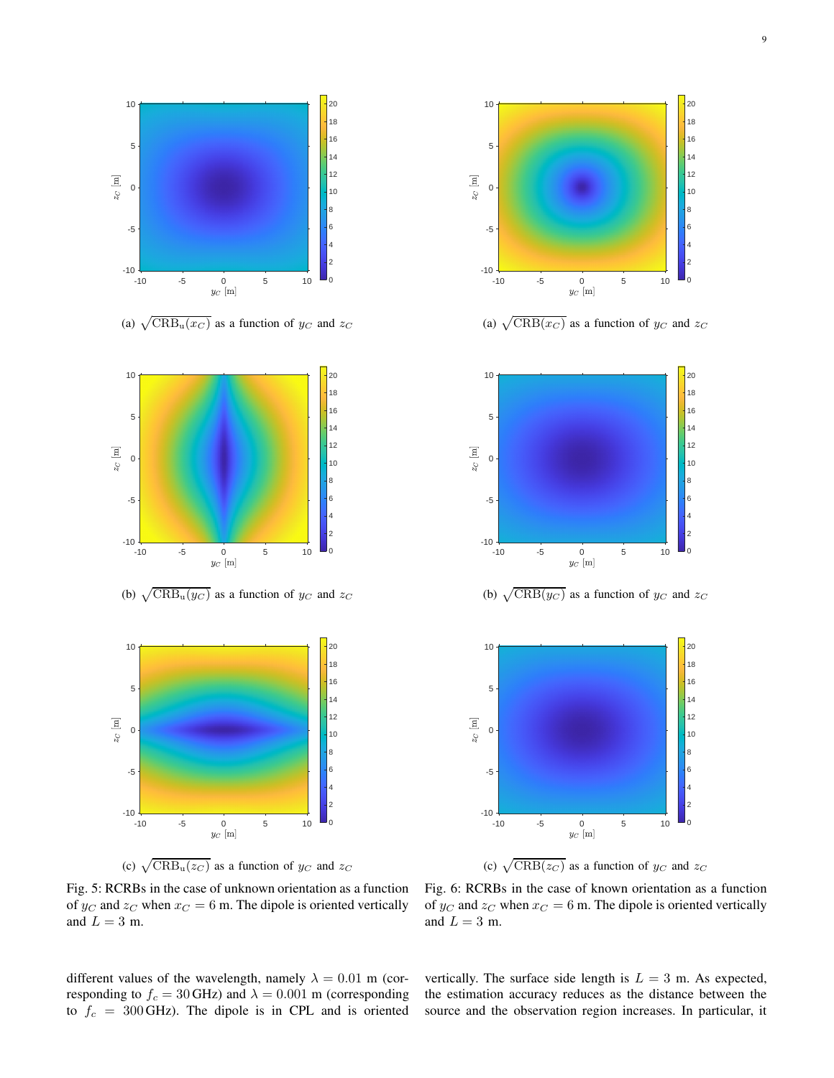<span id="page-8-0"></span>

(a)  $\sqrt{CRB_u(x_C)}$  as a function of  $y_C$  and  $z_C$ 



(c)  $\sqrt{CRB_u(z_C)}$  as a function of  $y_C$  and  $z_C$ 



different values of the wavelength, namely  $\lambda = 0.01$  m (corresponding to  $f_c = 30$  GHz) and  $\lambda = 0.001$  m (corresponding to  $f_c = 300$  GHz). The dipole is in CPL and is oriented

<span id="page-8-1"></span>

(a)  $\sqrt{\text{CRB}(x_C)}$  as a function of  $y_C$  and  $z_C$ 



(c)  $\sqrt{\text{CRB}(z_C)}$  as a function of  $y_C$  and  $z_C$ 

Fig. 6: RCRBs in the case of known orientation as a function of  $y_C$  and  $z_C$  when  $x_C = 6$  m. The dipole is oriented vertically and  $L = 3$  m.

vertically. The surface side length is  $L = 3$  m. As expected, the estimation accuracy reduces as the distance between the source and the observation region increases. In particular, it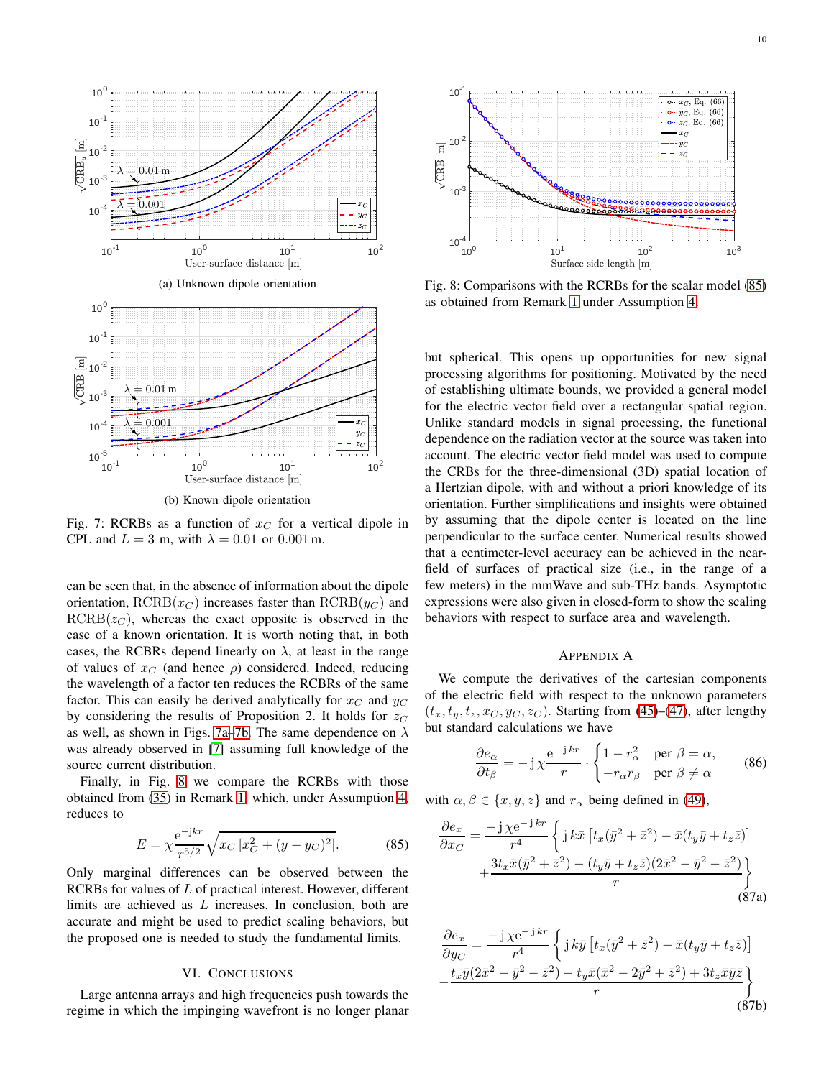<span id="page-9-1"></span>

(b) Known dipole orientation

Fig. 7: RCRBs as a function of  $x_C$  for a vertical dipole in CPL and  $L = 3$  m, with  $\lambda = 0.01$  or 0.001 m.

can be seen that, in the absence of information about the dipole orientation,  $RCRB(x_C)$  increases faster than  $RCRB(y_C)$  and  $RCRB(z<sub>C</sub>)$ , whereas the exact opposite is observed in the case of a known orientation. It is worth noting that, in both cases, the RCBRs depend linearly on  $\lambda$ , at least in the range of values of  $x_C$  (and hence  $\rho$ ) considered. Indeed, reducing the wavelength of a factor ten reduces the RCBRs of the same factor. This can easily be derived analytically for  $x_C$  and  $y_C$ by considering the results of Proposition 2. It holds for  $z_C$ as well, as shown in Figs. [7a–7b.](#page-9-1) The same dependence on  $\lambda$ was already observed in [\[7\]](#page-12-5) assuming full knowledge of the source current distribution.

Finally, in Fig. [8](#page-9-2) we compare the RCRBs with those obtained from [\(35\)](#page-4-1) in Remark [1,](#page-3-3) which, under Assumption [4,](#page-5-4) reduces to

$$
E = \chi \frac{e^{-jkr}}{r^{5/2}} \sqrt{x_C \left[ x_C^2 + (y - y_C)^2 \right]}.
$$
 (85)

Only marginal differences can be observed between the RCRBs for values of L of practical interest. However, different limits are achieved as L increases. In conclusion, both are accurate and might be used to predict scaling behaviors, but the proposed one is needed to study the fundamental limits.

# VI. CONCLUSIONS

<span id="page-9-0"></span>Large antenna arrays and high frequencies push towards the regime in which the impinging wavefront is no longer planar

<span id="page-9-2"></span>

Fig. 8: Comparisons with the RCRBs for the scalar model [\(85\)](#page-9-3) as obtained from Remark [1](#page-3-3) under Assumption [4.](#page-5-4)

but spherical. This opens up opportunities for new signal processing algorithms for positioning. Motivated by the need of establishing ultimate bounds, we provided a general model for the electric vector field over a rectangular spatial region. Unlike standard models in signal processing, the functional dependence on the radiation vector at the source was taken into account. The electric vector field model was used to compute the CRBs for the three-dimensional (3D) spatial location of a Hertzian dipole, with and without a priori knowledge of its orientation. Further simplifications and insights were obtained by assuming that the dipole center is located on the line perpendicular to the surface center. Numerical results showed that a centimeter-level accuracy can be achieved in the nearfield of surfaces of practical size (i.e., in the range of a few meters) in the mmWave and sub-THz bands. Asymptotic expressions were also given in closed-form to show the scaling behaviors with respect to surface area and wavelength.

# APPENDIX A

We compute the derivatives of the cartesian components of the electric field with respect to the unknown parameters  $(t_x, t_y, t_z, x_C, y_C, z_C)$ . Starting from [\(45\)](#page-4-6)–[\(47\)](#page-4-7), after lengthy but standard calculations we have

$$
\frac{\partial e_{\alpha}}{\partial t_{\beta}} = -j\,\chi \frac{\mathrm{e}^{-j\,kr}}{r} \cdot \begin{cases} 1 - r_{\alpha}^2 & \text{per } \beta = \alpha, \\ -r_{\alpha}r_{\beta} & \text{per } \beta \neq \alpha \end{cases} \tag{86}
$$

<span id="page-9-3"></span>with  $\alpha, \beta \in \{x, y, z\}$  and  $r_{\alpha}$  being defined in [\(49\)](#page-4-11),

$$
\frac{\partial e_x}{\partial x_C} = \frac{-j \chi e^{-j k r}}{r^4} \left\{ j k \bar{x} \left[ t_x (\bar{y}^2 + \bar{z}^2) - \bar{x} (t_y \bar{y} + t_z \bar{z}) \right] + \frac{3 t_x \bar{x} (\bar{y}^2 + \bar{z}^2) - (t_y \bar{y} + t_z \bar{z}) (2 \bar{x}^2 - \bar{y}^2 - \bar{z}^2)}{r} \right\}
$$
\n(87a)

$$
\frac{\partial e_x}{\partial y_C} = \frac{-j \chi e^{-jkr}}{r^4} \left\{ j k \bar{y} \left[ t_x(\bar{y}^2 + \bar{z}^2) - \bar{x} (t_y \bar{y} + t_z \bar{z}) \right] - \frac{t_x \bar{y} (2\bar{x}^2 - \bar{y}^2 - \bar{z}^2) - t_y \bar{x} (\bar{x}^2 - 2\bar{y}^2 + \bar{z}^2) + 3t_z \bar{x} \bar{y} \bar{z}}{r} \right\}
$$
\n(87b)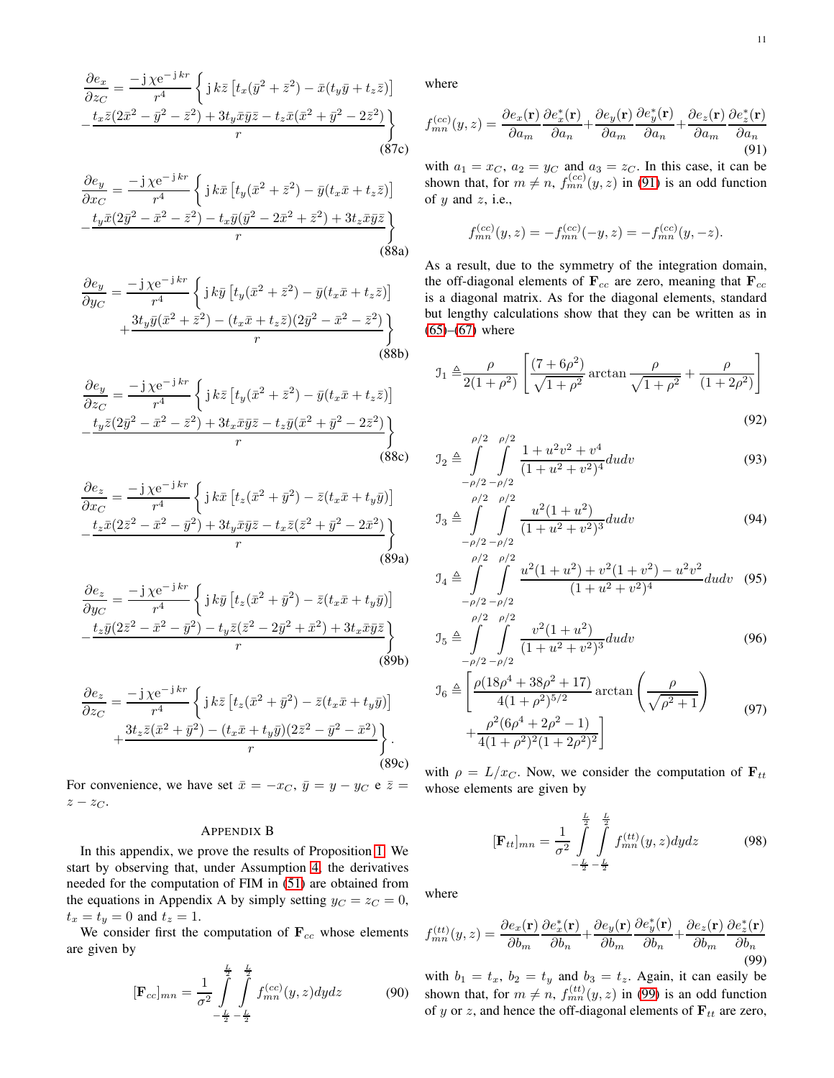$$
\frac{\partial e_x}{\partial z_C} = \frac{-j \chi e^{-j \, kr}}{r^4} \left\{ j \, k \bar{z} \left[ t_x(\bar{y}^2 + \bar{z}^2) - \bar{x} (t_y \bar{y} + t_z \bar{z}) \right] - \frac{t_x \bar{z} (2\bar{x}^2 - \bar{y}^2 - \bar{z}^2) + 3t_y \bar{x} \bar{y} \bar{z} - t_z \bar{x} (\bar{x}^2 + \bar{y}^2 - 2\bar{z}^2)}{r} \right\}
$$
\n(87c)

$$
\frac{\partial e_y}{\partial x_C} = \frac{-j \chi e^{-j \, kr}}{r^4} \left\{ j \, k \bar{x} \left[ t_y(\bar{x}^2 + \bar{z}^2) - \bar{y} (t_x \bar{x} + t_z \bar{z}) \right] - \frac{t_y \bar{x} (2\bar{y}^2 - \bar{x}^2 - \bar{z}^2) - t_x \bar{y} (\bar{y}^2 - 2\bar{x}^2 + \bar{z}^2) + 3t_z \bar{x} \bar{y} \bar{z}}{r} \right\}
$$
\n(88a)

$$
\frac{\partial e_y}{\partial y_C} = \frac{-j \chi e^{-j \, kr}}{r^4} \left\{ j \, k \bar{y} \left[ t_y (\bar{x}^2 + \bar{z}^2) - \bar{y} (t_x \bar{x} + t_z \bar{z}) \right] + \frac{3t_y \bar{y} (\bar{x}^2 + \bar{z}^2) - (t_x \bar{x} + t_z \bar{z}) (2\bar{y}^2 - \bar{x}^2 - \bar{z}^2)}{r} \right\}
$$
\n(88b)

$$
\frac{\partial e_y}{\partial z_C} = \frac{-j \chi e^{-j \, kr}}{r^4} \left\{ j \, k \bar{z} \left[ t_y(\bar{x}^2 + \bar{z}^2) - \bar{y} (t_x \bar{x} + t_z \bar{z}) \right] \right. \left. \frac{t_y \bar{z} (2\bar{y}^2 - \bar{x}^2 - \bar{z}^2) + 3t_x \bar{x} \bar{y} \bar{z} - t_z \bar{y} (\bar{x}^2 + \bar{y}^2 - 2\bar{z}^2)}{r} \right\}
$$
(88c)

$$
\frac{\partial e_z}{\partial x_C} = \frac{-j \chi e^{-j \, kr}}{r^4} \left\{ j \, k \bar{x} \left[ t_z (\bar{x}^2 + \bar{y}^2) - \bar{z} (t_x \bar{x} + t_y \bar{y}) \right] - \frac{t_z \bar{x} (2 \bar{z}^2 - \bar{x}^2 - \bar{y}^2) + 3t_y \bar{x} \bar{y} \bar{z} - t_x \bar{z} (\bar{z}^2 + \bar{y}^2 - 2 \bar{x}^2)}{r} \right\}
$$
\n(89a)

$$
\frac{\partial e_z}{\partial y_C} = \frac{-j \chi e^{-j \, kr}}{r^4} \left\{ j \, k \bar{y} \left[ t_z (\bar{x}^2 + \bar{y}^2) - \bar{z} (t_x \bar{x} + t_y \bar{y}) \right] - \frac{t_z \bar{y} (2 \bar{z}^2 - \bar{x}^2 - \bar{y}^2) - t_y \bar{z} (\bar{z}^2 - 2 \bar{y}^2 + \bar{x}^2) + 3 t_x \bar{x} \bar{y} \bar{z}}{r} \right\}
$$
\n(89b)

$$
\frac{\partial e_z}{\partial z_C} = \frac{-j \chi e^{-j kr}}{r^4} \left\{ j k \bar{z} \left[ t_z (\bar{x}^2 + \bar{y}^2) - \bar{z} (t_x \bar{x} + t_y \bar{y}) \right] + \frac{3 t_z \bar{z} (\bar{x}^2 + \bar{y}^2) - (t_x \bar{x} + t_y \bar{y}) (2 \bar{z}^2 - \bar{y}^2 - \bar{x}^2)}{r} \right\}.
$$
\n(89c)

For convenience, we have set  $\bar{x} = -x_C$ ,  $\bar{y} = y - y_C$  e  $\bar{z} =$  $z - z_C$ .

## APPENDIX B

In this appendix, we prove the results of Proposition [1.](#page-5-5) We start by observing that, under Assumption [4,](#page-5-4) the derivatives needed for the computation of FIM in [\(51\)](#page-4-8) are obtained from the equations in Appendix A by simply setting  $y_C = z_C = 0$ ,  $t_x = t_y = 0$  and  $t_z = 1$ .

We consider first the computation of  $\mathbf{F}_{cc}$  whose elements are given by

$$
[\mathbf{F}_{cc}]_{mn} = \frac{1}{\sigma^2} \int_{-\frac{L}{2}-\frac{L}{2}}^{\frac{L}{2}} \int_{mn}^{(cc)} (y, z) dy dz
$$
(90)

where

<span id="page-10-0"></span>
$$
f_{mn}^{(cc)}(y,z) = \frac{\partial e_x(\mathbf{r})}{\partial a_m} \frac{\partial e_x^*(\mathbf{r})}{\partial a_n} + \frac{\partial e_y(\mathbf{r})}{\partial a_m} \frac{\partial e_y^*(\mathbf{r})}{\partial a_n} + \frac{\partial e_z(\mathbf{r})}{\partial a_m} \frac{\partial e_z^*(\mathbf{r})}{\partial a_n}
$$
(91)

with  $a_1 = x_C$ ,  $a_2 = y_C$  and  $a_3 = z_C$ . In this case, it can be shown that, for  $m \neq n$ ,  $f_{mn}^{(cc)}(y, z)$  in [\(91\)](#page-10-0) is an odd function of  $y$  and  $z$ , i.e.,

$$
f_{mn}^{(cc)}(y, z) = -f_{mn}^{(cc)}(-y, z) = -f_{mn}^{(cc)}(y, -z).
$$

As a result, due to the symmetry of the integration domain, the off-diagonal elements of  $\mathbf{F}_{cc}$  are zero, meaning that  $\mathbf{F}_{cc}$ is a diagonal matrix. As for the diagonal elements, standard but lengthy calculations show that they can be written as in  $(65)–(67)$  $(65)–(67)$  $(65)–(67)$  where

$$
J_1 \triangleq \frac{\rho}{2(1+\rho^2)} \left[ \frac{(7+6\rho^2)}{\sqrt{1+\rho^2}} \arctan \frac{\rho}{\sqrt{1+\rho^2}} + \frac{\rho}{(1+2\rho^2)} \right]
$$
(92)

<span id="page-10-3"></span><span id="page-10-2"></span>
$$
\mathcal{I}_2 \triangleq \int_{-\rho/2}^{\rho/2} \int_{-\rho/2}^{\rho/2} \frac{1 + u^2 v^2 + v^4}{(1 + u^2 + v^2)^4} du dv
$$
\n(93)

$$
J_3 \triangleq \int_{-\rho/2}^{\rho/2} \int_{-\rho/2}^{\rho/2} \frac{u^2(1+u^2)}{(1+u^2+v^2)^3} du dv
$$
 (94)

$$
\mathcal{J}_4 \triangleq \int_{-\rho/2}^{\rho/2} \int_{-\rho/2}^{\rho/2} \frac{u^2(1+u^2) + v^2(1+v^2) - u^2v^2}{(1+u^2+v^2)^4} du dv \quad (95)
$$

$$
J_5 \triangleq \int_{-\rho/2}^{\rho/2} \int_{-\rho/2}^{\rho/2} \frac{v^2 (1+u^2)}{(1+u^2+v^2)^3} du dv
$$
 (96)

$$
\mathcal{I}_{6} \triangleq \left[ \frac{\rho (18\rho^{4} + 38\rho^{2} + 17)}{4(1+\rho^{2})^{5/2}} \arctan \left( \frac{\rho}{\sqrt{\rho^{2}+1}} \right) + \frac{\rho^{2} (6\rho^{4} + 2\rho^{2} - 1)}{4(1+\rho^{2})^{2}(1+2\rho^{2})^{2}} \right]
$$
\n(97)

with  $\rho = L/x_C$ . Now, we consider the computation of  $\mathbf{F}_{tt}$ whose elements are given by

<span id="page-10-4"></span>
$$
[\mathbf{F}_{tt}]_{mn} = \frac{1}{\sigma^2} \int_{-\frac{L}{2}}^{\frac{L}{2}} \int_{-\frac{L}{2}}^{\frac{L}{2}} f_{mn}^{(tt)}(y, z) dy dz
$$
 (98)

where

<span id="page-10-1"></span>
$$
f_{mn}^{(tt)}(y,z) = \frac{\partial e_x(\mathbf{r})}{\partial b_m} \frac{\partial e_x^*(\mathbf{r})}{\partial b_n} + \frac{\partial e_y(\mathbf{r})}{\partial b_m} \frac{\partial e_y^*(\mathbf{r})}{\partial b_n} + \frac{\partial e_z(\mathbf{r})}{\partial b_m} \frac{\partial e_z^*(\mathbf{r})}{\partial b_n}
$$
(99)

with  $b_1 = t_x$ ,  $b_2 = t_y$  and  $b_3 = t_z$ . Again, it can easily be shown that, for  $m \neq n$ ,  $f_{mn}^{(tt)}(y, z)$  in [\(99\)](#page-10-1) is an odd function of y or z, and hence the off-diagonal elements of  $F_{tt}$  are zero,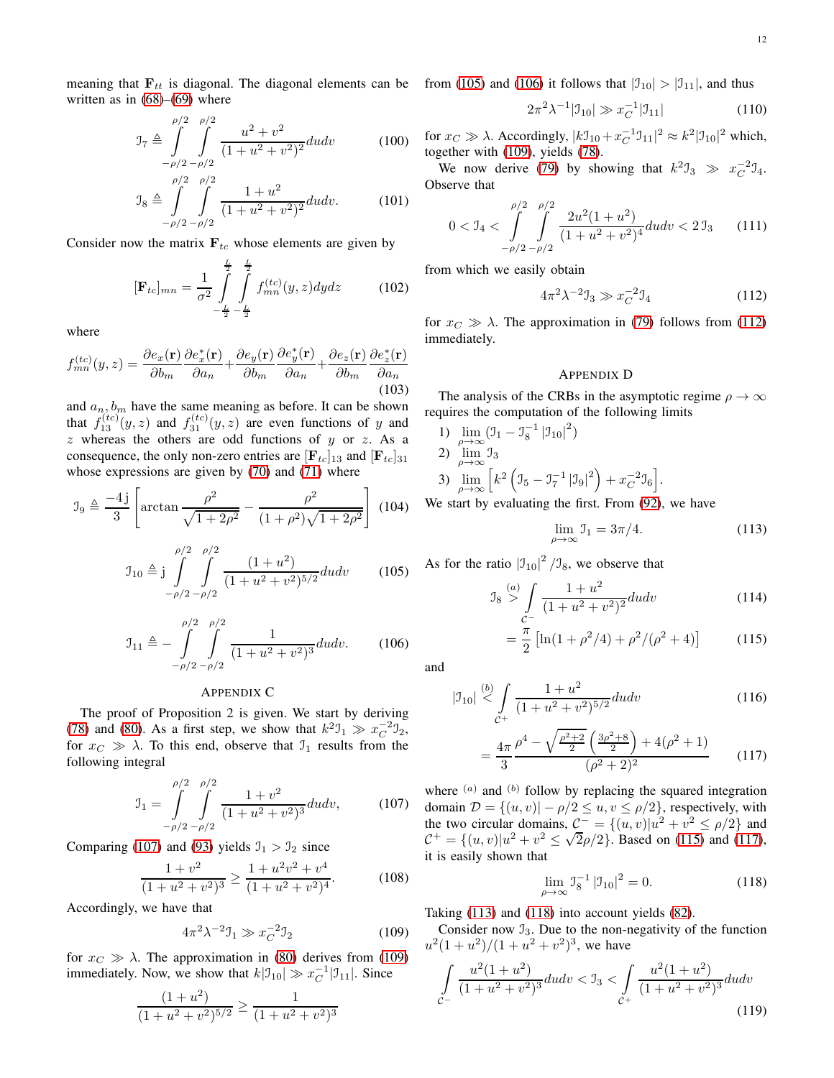meaning that  $\mathbf{F}_{tt}$  is diagonal. The diagonal elements can be from [\(105\)](#page-11-6) and [\(106\)](#page-11-3) it follows that  $|\mathcal{I}_{10}| > |\mathcal{I}_{11}|$ , and thus written as in  $(68)$ – $(69)$  where

$$
\mathcal{I}_7 \triangleq \int_{-\rho/2}^{\rho/2} \int_{-\rho/2}^{\rho/2} \frac{u^2 + v^2}{(1 + u^2 + v^2)^2} du dv \tag{100}
$$

$$
\mathcal{I}_8 \triangleq \int_{-\rho/2}^{\rho/2} \int_{-\rho/2}^{\rho/2} \frac{1+u^2}{(1+u^2+v^2)^2} du dv. \tag{101}
$$

Consider now the matrix  $F_{tc}$  whose elements are given by

$$
[\mathbf{F}_{tc}]_{mn} = \frac{1}{\sigma^2} \int_{-\frac{L}{2}-\frac{L}{2}}^{\frac{L}{2}} \int_{mn}^{(tc)}(y, z) dy dz
$$
 (102)

where

$$
f_{mn}^{(tc)}(y,z) = \frac{\partial e_x(\mathbf{r})}{\partial b_m} \frac{\partial e_x^*(\mathbf{r})}{\partial a_n} + \frac{\partial e_y(\mathbf{r})}{\partial b_m} \frac{\partial e_y^*(\mathbf{r})}{\partial a_n} + \frac{\partial e_z(\mathbf{r})}{\partial b_m} \frac{\partial e_z^*(\mathbf{r})}{\partial a_n}
$$
(103)

and  $a_n, b_m$  have the same meaning as before. It can be shown that  $f_{13}^{(tc)}(y, z)$  and  $f_{31}^{(tc)}(y, z)$  are even functions of y and  $z$  whereas the others are odd functions of  $y$  or  $z$ . As a consequence, the only non-zero entries are  $[\mathbf{F}_{tc}]_{13}$  and  $[\mathbf{F}_{tc}]_{31}$ whose expressions are given by  $(70)$  and  $(71)$  where

$$
\mathcal{I}_9 \triangleq \frac{-4 \,\mathrm{j}}{3} \left[ \arctan \frac{\rho^2}{\sqrt{1 + 2\rho^2}} - \frac{\rho^2}{(1 + \rho^2)\sqrt{1 + 2\rho^2}} \right] \tag{104}
$$

$$
\mathcal{I}_{10} \triangleq j \int_{-\rho/2}^{\rho/2} \int_{-\rho/2}^{\rho/2} \frac{(1+u^2)}{(1+u^2+v^2)^{5/2}} du dv \qquad (105)
$$

$$
\mathcal{I}_{11} \triangleq -\int_{-\rho/2}^{\rho/2} \int_{-\rho/2}^{\rho/2} \frac{1}{(1+u^2+v^2)^3} du dv. \tag{106}
$$

### APPENDIX C

The proof of Proposition 2 is given. We start by deriving [\(78\)](#page-6-6) and [\(80\)](#page-6-7). As a first step, we show that  $k^2 \mathcal{I}_1 \gg x_C^{-2} \mathcal{I}_2$ , for  $x_C \gg \lambda$ . To this end, observe that  $\mathcal{I}_1$  results from the following integral

<span id="page-11-4"></span>
$$
\mathcal{I}_1 = \int_{-\rho/2}^{\rho/2} \int_{-\rho/2}^{\rho/2} \frac{1+v^2}{(1+u^2+v^2)^3} du dv, \qquad (107)
$$

Comparing [\(107\)](#page-11-4) and [\(93\)](#page-10-2) yields  $\mathfrak{I}_1 > \mathfrak{I}_2$  since

$$
\frac{1+v^2}{(1+u^2+v^2)^3} \ge \frac{1+u^2v^2+v^4}{(1+u^2+v^2)^4}.
$$
 (108)

Accordingly, we have that

<span id="page-11-5"></span>
$$
4\pi^2 \lambda^{-2} \mathbf{J}_1 \gg x_C^{-2} \mathbf{J}_2 \tag{109}
$$

for  $x_C \gg \lambda$ . The approximation in [\(80\)](#page-6-7) derives from [\(109\)](#page-11-5) immediately. Now, we show that  $k|\mathcal{I}_{10}| \gg x_C^{-1}|\mathcal{I}_{11}|$ . Since

$$
\frac{(1+u^2)}{(1+u^2+v^2)^{5/2}} \ge \frac{1}{(1+u^2+v^2)^3}
$$

$$
2\pi^2\lambda^{-1}|\mathcal{I}_{10}| \gg x_C^{-1}|\mathcal{I}_{11}| \tag{110}
$$

<span id="page-11-0"></span>for  $x_C \gg \lambda$ . Accordingly,  $|k\mathfrak{I}_{10} + x_C^{-1}\mathfrak{I}_{11}|^2 \approx k^2 |\mathfrak{I}_{10}|^2$  which, together with [\(109\)](#page-11-5), yields [\(78\)](#page-6-6).

<span id="page-11-1"></span>We now derive [\(79\)](#page-6-8) by showing that  $k^2 \mathbb{J}_3 \gg x_C^{-2} \mathbb{J}_4$ . Observe that

$$
0 < \mathfrak{I}_4 < \int_{-\rho/2}^{\rho/2} \int_{-\rho/2}^{\rho/2} \frac{2u^2(1+u^2)}{(1+u^2+v^2)^4} du dv < 2\mathfrak{I}_3 \tag{111}
$$

from which we easily obtain

$$
4\pi^2 \lambda^{-2} \mathfrak{I}_3 \gg x_C^{-2} \mathfrak{I}_4 \tag{112}
$$

for  $x_C \gg \lambda$ . The approximation in [\(79\)](#page-6-8) follows from [\(112\)](#page-11-7) immediately.

## APPENDIX D

The analysis of the CRBs in the asymptotic regime  $\rho \to \infty$ requires the computation of the following limits

1)  $\lim_{\rho \to \infty} (J_1 - J_8^{-1} |J_{10}|^2)$ 2)  $\lim_{\rho \to \infty} \mathfrak{I}_3$ 3)  $\lim_{\rho \to \infty} \left[ k^2 \left( \mathfrak{I}_5 - \mathfrak{I}_7^{-1} \left| \mathfrak{I}_9 \right|^2 \right) + x_C^{-2} \mathfrak{I}_6 \right].$ 

<span id="page-11-7"></span> $\angle$ 

<span id="page-11-2"></span>We start by evaluating the first. From [\(92\)](#page-10-3), we have

<span id="page-11-10"></span><span id="page-11-8"></span>
$$
\lim_{\rho \to \infty} \mathcal{I}_1 = 3\pi/4. \tag{113}
$$

<span id="page-11-6"></span>As for the ratio  $|J_{10}|^2 / J_8$ , we observe that

$$
\mathcal{I}_8 \stackrel{(a)}{\geq} \int\limits_{\mathcal{C}^-} \frac{1+u^2}{(1+u^2+v^2)^2} du dv \tag{114}
$$

$$
= \frac{\pi}{2} \left[ \ln(1 + \rho^2/4) + \rho^2/(\rho^2 + 4) \right]
$$
 (115)

<span id="page-11-3"></span>and

$$
|J_{10}| \stackrel{(b)}{\leq} \int_{C^+} \frac{1+u^2}{(1+u^2+v^2)^{5/2}} du dv \tag{116}
$$

$$
= \frac{4\pi}{3} \frac{\rho^4 - \sqrt{\frac{\rho^2 + 2}{2}} \left(\frac{3\rho^2 + 8}{2}\right) + 4(\rho^2 + 1)}{(\rho^2 + 2)^2}
$$
(117)

where  $(a)$  and  $(b)$  follow by replacing the squared integration domain  $\mathcal{D} = \{(u, v) | -\rho/2 \leq u, v \leq \rho/2\}$ , respectively, with the two circular domains,  $C^- = \{(u, v) | u^2 + v^2 \le \rho/2 \}$  and  $C^+ = \{(u, v)|u^2 + v^2 \le \sqrt{2}\rho/2\}$ . Based on [\(115\)](#page-11-8) and [\(117\)](#page-11-9), it is easily shown that

<span id="page-11-11"></span><span id="page-11-9"></span>
$$
\lim_{\rho \to \infty} \mathfrak{I}_8^{-1} \left| \mathfrak{I}_{10} \right|^2 = 0. \tag{118}
$$

Taking [\(113\)](#page-11-10) and [\(118\)](#page-11-11) into account yields [\(82\)](#page-6-3).

Consider now  $\mathcal{I}_3$ . Due to the non-negativity of the function  $u^2(1+u^2)/(1+u^2+v^2)^3$ , we have

<span id="page-11-12"></span>
$$
\int_{C^{-}} \frac{u^2(1+u^2)}{(1+u^2+v^2)^3} du dv < \mathfrak{I}_3 < \int_{C^{+}} \frac{u^2(1+u^2)}{(1+u^2+v^2)^3} du dv
$$
\n(119)